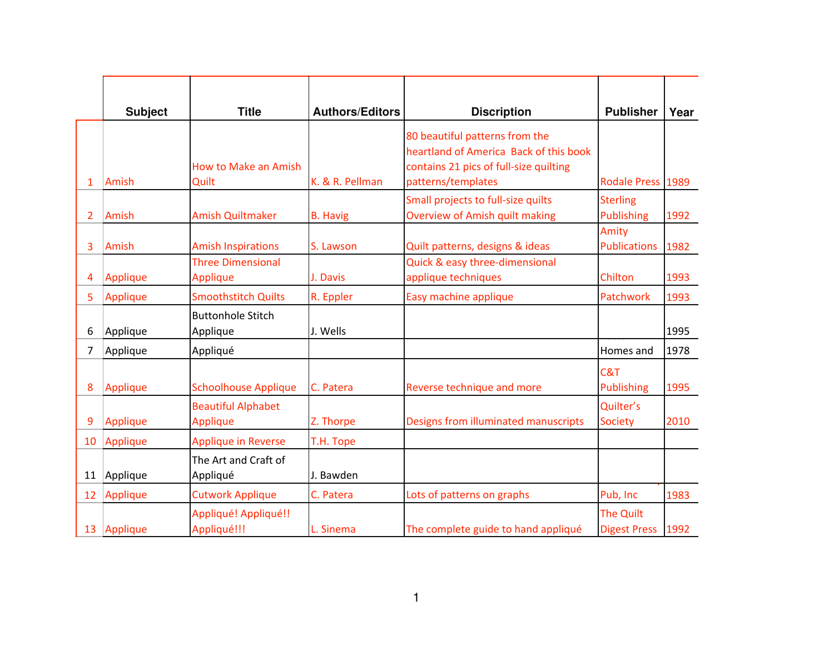|                | <b>Subject</b> | <b>Title</b>                                 | <b>Authors/Editors</b> | <b>Discription</b>                                                                                                                       | <b>Publisher</b>                        | Year |
|----------------|----------------|----------------------------------------------|------------------------|------------------------------------------------------------------------------------------------------------------------------------------|-----------------------------------------|------|
| 1              | Amish          | <b>How to Make an Amish</b><br>Quilt         | K. & R. Pellman        | 80 beautiful patterns from the<br>heartland of America Back of this book<br>contains 21 pics of full-size quilting<br>patterns/templates | Rodale Press 1989                       |      |
| $\overline{2}$ | Amish          | <b>Amish Quiltmaker</b>                      | <b>B.</b> Havig        | Small projects to full-size quilts<br><b>Overview of Amish quilt making</b>                                                              | <b>Sterling</b><br><b>Publishing</b>    | 1992 |
| 3              | Amish          | <b>Amish Inspirations</b>                    | S. Lawson              | Quilt patterns, designs & ideas                                                                                                          | Amity<br><b>Publications</b>            | 1982 |
| 4              | Applique       | <b>Three Dimensional</b><br><b>Applique</b>  | J. Davis               | Quick & easy three-dimensional<br>applique techniques                                                                                    | Chilton                                 | 1993 |
| 5              | Applique       | <b>Smoothstitch Quilts</b>                   | R. Eppler              | Easy machine applique                                                                                                                    | Patchwork                               | 1993 |
| 6              | Applique       | <b>Buttonhole Stitch</b><br>Applique         | J. Wells               |                                                                                                                                          |                                         | 1995 |
| 7              | Applique       | Appliqué                                     |                        |                                                                                                                                          | Homes and                               | 1978 |
| 8              | Applique       | <b>Schoolhouse Applique</b>                  | C. Patera              | Reverse technique and more                                                                                                               | C&T<br><b>Publishing</b>                | 1995 |
| 9              | Applique       | <b>Beautiful Alphabet</b><br><b>Applique</b> | Z. Thorpe              | Designs from illuminated manuscripts                                                                                                     | Quilter's<br><b>Society</b>             | 2010 |
| 10             | Applique       | <b>Applique in Reverse</b>                   | T.H. Tope              |                                                                                                                                          |                                         |      |
| 11             | Applique       | The Art and Craft of<br>Appliqué             | J. Bawden              |                                                                                                                                          |                                         |      |
| 12             | Applique       | <b>Cutwork Applique</b>                      | C. Patera              | Lots of patterns on graphs                                                                                                               | Pub, Inc                                | 1983 |
|                | 13   Applique  | Appliqué! Appliqué!!<br>Appliqué!!!          | L. Sinema              | The complete guide to hand appliqué                                                                                                      | <b>The Quilt</b><br><b>Digest Press</b> | 1992 |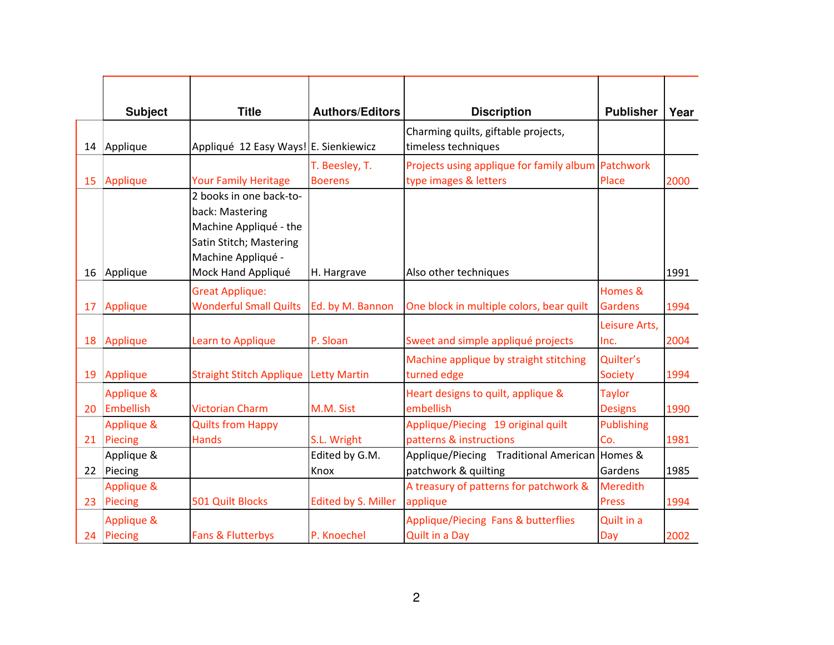|    | <b>Subject</b>          | <b>Title</b>                                                                                                                                | <b>Authors/Editors</b>           | <b>Discription</b>                                                | <b>Publisher</b>                | Year |
|----|-------------------------|---------------------------------------------------------------------------------------------------------------------------------------------|----------------------------------|-------------------------------------------------------------------|---------------------------------|------|
| 14 | Applique                | Appliqué 12 Easy Ways! E. Sienkiewicz                                                                                                       |                                  | Charming quilts, giftable projects,<br>timeless techniques        |                                 |      |
| 15 | Applique                | <b>Your Family Heritage</b>                                                                                                                 | T. Beesley, T.<br><b>Boerens</b> | Projects using applique for family album<br>type images & letters | Patchwork<br>Place              | 2000 |
| 16 | Applique                | 2 books in one back-to-<br>back: Mastering<br>Machine Appliqué - the<br>Satin Stitch; Mastering<br>Machine Appliqué -<br>Mock Hand Appliqué | H. Hargrave                      | Also other techniques                                             |                                 | 1991 |
| 17 | Applique                | <b>Great Applique:</b><br><b>Wonderful Small Quilts</b>                                                                                     | Ed. by M. Bannon                 | One block in multiple colors, bear quilt                          | Homes &<br><b>Gardens</b>       | 1994 |
| 18 | Applique                | Learn to Applique                                                                                                                           | P. Sloan                         | Sweet and simple appliqué projects                                | Leisure Arts,<br>Inc.           | 2004 |
| 19 | Applique                | <b>Straight Stitch Applique</b>                                                                                                             | <b>Letty Martin</b>              | Machine applique by straight stitching<br>turned edge             | Quilter's<br><b>Society</b>     | 1994 |
| 20 | Applique &<br>Embellish | <b>Victorian Charm</b>                                                                                                                      | M.M. Sist                        | Heart designs to quilt, applique &<br>embellish                   | <b>Taylor</b><br><b>Designs</b> | 1990 |
| 21 | Applique &<br>Piecing   | <b>Quilts from Happy</b><br><b>Hands</b>                                                                                                    | S.L. Wright                      | Applique/Piecing 19 original quilt<br>patterns & instructions     | <b>Publishing</b><br>Co.        | 1981 |
| 22 | Applique &<br>Piecing   |                                                                                                                                             | Edited by G.M.<br>Knox           | Applique/Piecing Traditional American<br>patchwork & quilting     | Homes &<br>Gardens              | 1985 |
| 23 | Applique &<br>Piecing   | 501 Quilt Blocks                                                                                                                            | <b>Edited by S. Miller</b>       | A treasury of patterns for patchwork &<br>applique                | <b>Meredith</b><br><b>Press</b> | 1994 |
| 24 | Applique &<br>Piecing   | Fans & Flutterbys                                                                                                                           | P. Knoechel                      | Applique/Piecing Fans & butterflies<br><b>Quilt in a Day</b>      | Quilt in a<br>Day               | 2002 |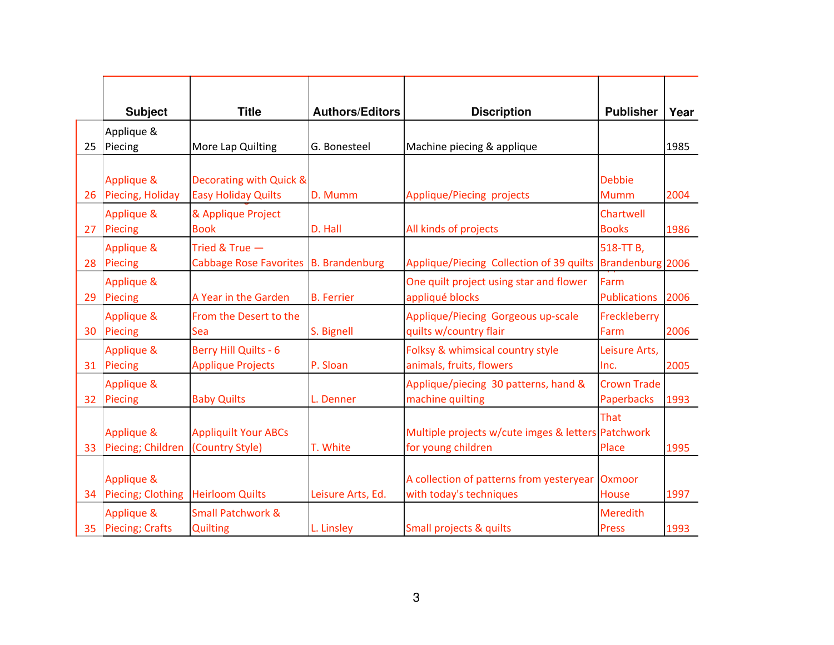|    | <b>Subject</b>                  | <b>Title</b>                                             | <b>Authors/Editors</b> | <b>Discription</b>                                                       | <b>Publisher</b>                        | Year |
|----|---------------------------------|----------------------------------------------------------|------------------------|--------------------------------------------------------------------------|-----------------------------------------|------|
|    | Applique &                      |                                                          |                        |                                                                          |                                         |      |
| 25 | Piecing                         | More Lap Quilting                                        | G. Bonesteel           | Machine piecing & applique                                               |                                         | 1985 |
| 26 | Applique &<br>Piecing, Holiday  | Decorating with Quick &<br><b>Easy Holiday Quilts</b>    | D. Mumm                | Applique/Piecing projects                                                | <b>Debbie</b><br><b>Mumm</b>            | 2004 |
| 27 | Applique &<br>Piecing           | & Applique Project<br><b>Book</b>                        | D. Hall                | All kinds of projects                                                    | Chartwell<br><b>Books</b>               | 1986 |
| 28 | Applique &<br>Piecing           | Tried & True -<br>Cabbage Rose Favorites B. Brandenburg  |                        | Applique/Piecing Collection of 39 quilts                                 | 518-TT B,<br>Brandenburg 2006           |      |
| 29 | Applique &<br>Piecing           | A Year in the Garden                                     | <b>B.</b> Ferrier      | One quilt project using star and flower<br>appliqué blocks               | Farm<br><b>Publications</b>             | 2006 |
| 30 | Applique &<br>Piecing           | From the Desert to the<br>Sea                            | S. Bignell             | Applique/Piecing Gorgeous up-scale<br>quilts w/country flair             | Freckleberry<br>Farm                    | 2006 |
| 31 | Applique &<br>Piecing           | <b>Berry Hill Quilts - 6</b><br><b>Applique Projects</b> | P. Sloan               | Folksy & whimsical country style<br>animals, fruits, flowers             | Leisure Arts,<br>Inc.                   | 2005 |
| 32 | Applique &<br>Piecing           | <b>Baby Quilts</b>                                       | L. Denner              | Applique/piecing 30 patterns, hand &<br>machine quilting                 | <b>Crown Trade</b><br><b>Paperbacks</b> | 1993 |
| 33 | Applique &<br>Piecing; Children | <b>Appliquilt Your ABCs</b><br>(Country Style)           | T. White               | Multiple projects w/cute imges & letters Patchwork<br>for young children | That<br>Place                           | 1995 |
| 34 | Applique &<br>Piecing; Clothing | <b>Heirloom Quilts</b>                                   | Leisure Arts, Ed.      | A collection of patterns from yesteryear<br>with today's techniques      | Oxmoor<br>House                         | 1997 |
| 35 | Applique &<br>Piecing; Crafts   | <b>Small Patchwork &amp;</b><br><b>Quilting</b>          | L. Linsley             | Small projects & quilts                                                  | <b>Meredith</b><br><b>Press</b>         | 1993 |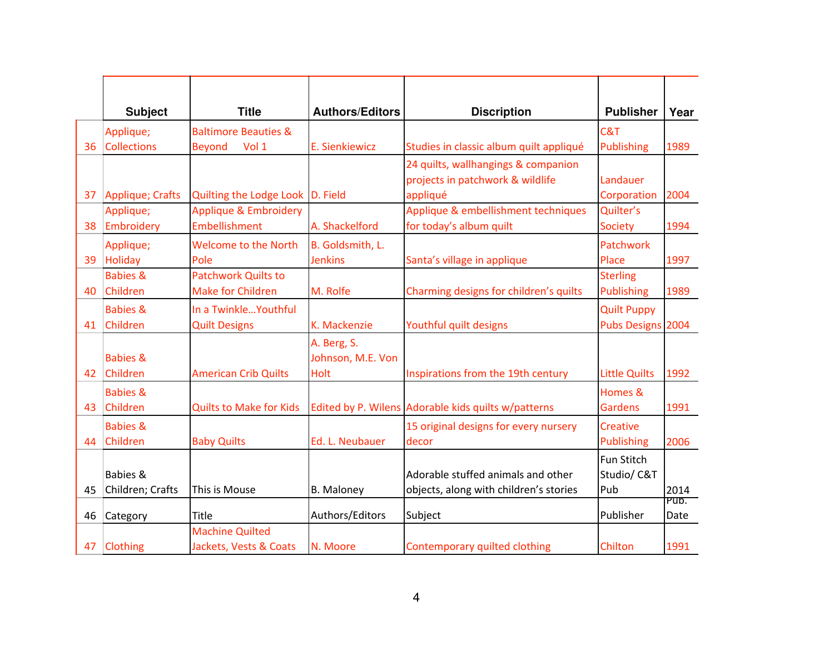|    | <b>Subject</b>                          | <b>Title</b>                                     | <b>Authors/Editors</b>                   | <b>Discription</b>                                                                  | <b>Publisher</b>                     | Year         |
|----|-----------------------------------------|--------------------------------------------------|------------------------------------------|-------------------------------------------------------------------------------------|--------------------------------------|--------------|
|    | Applique;                               | <b>Baltimore Beauties &amp;</b>                  |                                          |                                                                                     | C&T                                  |              |
| 36 | <b>Collections</b>                      | <b>Beyond</b><br>Vol 1                           | E. Sienkiewicz                           | Studies in classic album quilt appliqué                                             | Publishing                           | 1989         |
| 37 | Applique; Crafts                        | Quilting the Lodge Look D. Field                 |                                          | 24 quilts, wallhangings & companion<br>projects in patchwork & wildlife<br>appliqué | Landauer<br>Corporation              | 2004         |
|    | Applique;                               | Applique & Embroidery                            |                                          | Applique & embellishment techniques                                                 | Quilter's                            |              |
| 38 | Embroidery                              | Embellishment                                    | A. Shackelford                           | for today's album quilt                                                             | <b>Society</b>                       | 1994         |
| 39 | Applique;<br><b>Holiday</b>             | <b>Welcome to the North</b><br>Pole              | B. Goldsmith, L.<br><b>Jenkins</b>       | Santa's village in applique                                                         | Patchwork<br>Place                   | 1997         |
|    | <b>Babies &amp;</b>                     | <b>Patchwork Quilts to</b>                       |                                          |                                                                                     | <b>Sterling</b>                      |              |
| 40 | Children                                | <b>Make for Children</b>                         | M. Rolfe                                 | Charming designs for children's quilts                                              | <b>Publishing</b>                    | 1989         |
|    | <b>Babies &amp;</b>                     | In a Twinkle Youthful                            |                                          |                                                                                     | <b>Quilt Puppy</b>                   |              |
| 41 | Children                                | <b>Quilt Designs</b>                             | K. Mackenzie                             | Youthful quilt designs                                                              | Pubs Designs 2004                    |              |
| 42 | <b>Babies &amp;</b><br>Children         | <b>American Crib Quilts</b>                      | A. Berg, S.<br>Johnson, M.E. Von<br>Holt | Inspirations from the 19th century                                                  | <b>Little Quilts</b>                 | 1992         |
| 43 | <b>Babies &amp;</b><br>Children         | <b>Quilts to Make for Kids</b>                   |                                          | Edited by P. Wilens Adorable kids quilts w/patterns                                 | Homes &<br><b>Gardens</b>            | 1991         |
| 44 | <b>Babies &amp;</b><br>Children         | <b>Baby Quilts</b>                               | Ed. L. Neubauer                          | 15 original designs for every nursery<br>decor                                      | <b>Creative</b><br><b>Publishing</b> | 2006         |
| 45 | <b>Babies &amp;</b><br>Children; Crafts | This is Mouse                                    | <b>B.</b> Maloney                        | Adorable stuffed animals and other<br>objects, along with children's stories        | Fun Stitch<br>Studio/C&T<br>Pub      | 2014         |
| 46 | Category                                | Title                                            | Authors/Editors                          | Subject                                                                             | Publisher                            | Pub.<br>Date |
| 47 | <b>Clothing</b>                         | <b>Machine Quilted</b><br>Jackets, Vests & Coats | N. Moore                                 | Contemporary quilted clothing                                                       | Chilton                              | 1991         |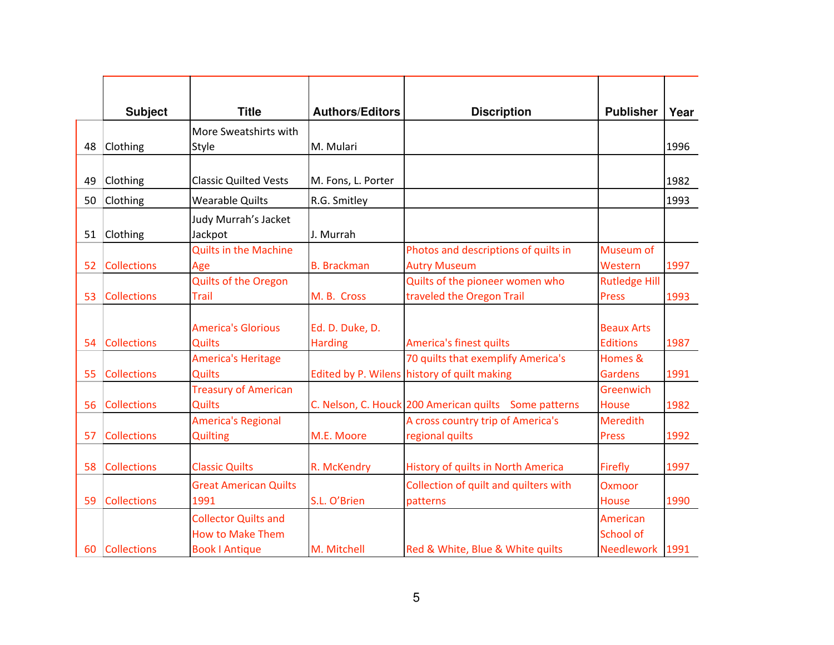|    | <b>Subject</b>     | <b>Title</b>                 | <b>Authors/Editors</b> | <b>Discription</b>                                    | <b>Publisher</b>     | Year |
|----|--------------------|------------------------------|------------------------|-------------------------------------------------------|----------------------|------|
|    |                    | More Sweatshirts with        |                        |                                                       |                      |      |
| 48 | Clothing           | <b>Style</b>                 | M. Mulari              |                                                       |                      | 1996 |
|    |                    |                              |                        |                                                       |                      |      |
| 49 | Clothing           | <b>Classic Quilted Vests</b> | M. Fons, L. Porter     |                                                       |                      | 1982 |
| 50 | Clothing           | <b>Wearable Quilts</b>       | R.G. Smitley           |                                                       |                      | 1993 |
|    |                    | Judy Murrah's Jacket         |                        |                                                       |                      |      |
| 51 | Clothing           | Jackpot                      | J. Murrah              |                                                       |                      |      |
|    |                    | <b>Quilts in the Machine</b> |                        | Photos and descriptions of quilts in                  | Museum of            |      |
| 52 | <b>Collections</b> | Age                          | <b>B.</b> Brackman     | <b>Autry Museum</b>                                   | Western              | 1997 |
|    |                    | <b>Quilts of the Oregon</b>  |                        | Quilts of the pioneer women who                       | <b>Rutledge Hill</b> |      |
| 53 | <b>Collections</b> | <b>Trail</b>                 | M. B. Cross            | traveled the Oregon Trail                             | <b>Press</b>         | 1993 |
|    |                    |                              |                        |                                                       |                      |      |
|    |                    | <b>America's Glorious</b>    | Ed. D. Duke, D.        |                                                       | <b>Beaux Arts</b>    |      |
| 54 | <b>Collections</b> | <b>Quilts</b>                | <b>Harding</b>         | America's finest quilts                               | <b>Editions</b>      | 1987 |
|    |                    | <b>America's Heritage</b>    |                        | 70 quilts that exemplify America's                    | Homes &              |      |
| 55 | <b>Collections</b> | <b>Quilts</b>                |                        | Edited by P. Wilens history of quilt making           | <b>Gardens</b>       | 1991 |
|    |                    | <b>Treasury of American</b>  |                        |                                                       | Greenwich            |      |
| 56 | <b>Collections</b> | <b>Quilts</b>                |                        | C. Nelson, C. Houck 200 American quilts Some patterns | <b>House</b>         | 1982 |
|    |                    | <b>America's Regional</b>    |                        | A cross country trip of America's                     | <b>Meredith</b>      |      |
| 57 | <b>Collections</b> | Quilting                     | M.E. Moore             | regional quilts                                       | <b>Press</b>         | 1992 |
|    |                    |                              |                        |                                                       |                      |      |
| 58 | <b>Collections</b> | <b>Classic Quilts</b>        | R. McKendry            | History of quilts in North America                    | Firefly              | 1997 |
|    |                    | <b>Great American Quilts</b> |                        | Collection of quilt and quilters with                 | Oxmoor               |      |
| 59 | <b>Collections</b> | 1991                         | S.L. O'Brien           | patterns                                              | <b>House</b>         | 1990 |
|    |                    | <b>Collector Quilts and</b>  |                        |                                                       | American             |      |
|    |                    | <b>How to Make Them</b>      |                        |                                                       | School of            |      |
| 60 | <b>Collections</b> | <b>Book   Antique</b>        | M. Mitchell            | Red & White, Blue & White quilts                      | Needlework 1991      |      |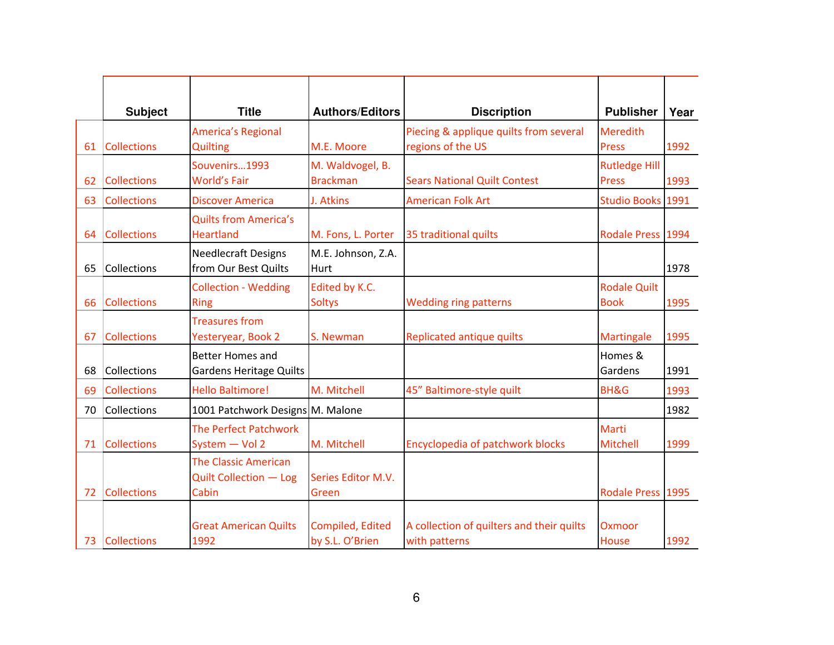|    | <b>Subject</b>     | <b>Title</b>                                                   | <b>Authors/Editors</b>              | <b>Discription</b>                                          | <b>Publisher</b>                     | Year |
|----|--------------------|----------------------------------------------------------------|-------------------------------------|-------------------------------------------------------------|--------------------------------------|------|
| 61 | <b>Collections</b> | <b>America's Regional</b><br><b>Quilting</b>                   | M.E. Moore                          | Piecing & applique quilts from several<br>regions of the US | <b>Meredith</b><br><b>Press</b>      | 1992 |
| 62 | <b>Collections</b> | Souvenirs1993<br><b>World's Fair</b>                           | M. Waldvogel, B.<br><b>Brackman</b> | <b>Sears National Quilt Contest</b>                         | <b>Rutledge Hill</b><br><b>Press</b> | 1993 |
| 63 | <b>Collections</b> | <b>Discover America</b>                                        | J. Atkins                           | <b>American Folk Art</b>                                    | Studio Books 1991                    |      |
| 64 | <b>Collections</b> | <b>Quilts from America's</b><br><b>Heartland</b>               | M. Fons, L. Porter                  | 35 traditional quilts                                       | Rodale Press 1994                    |      |
| 65 | Collections        | <b>Needlecraft Designs</b><br>from Our Best Quilts             | M.E. Johnson, Z.A.<br>Hurt          |                                                             |                                      | 1978 |
| 66 | <b>Collections</b> | <b>Collection - Wedding</b><br><b>Ring</b>                     | Edited by K.C.<br><b>Soltys</b>     | <b>Wedding ring patterns</b>                                | <b>Rodale Quilt</b><br><b>Book</b>   | 1995 |
| 67 | <b>Collections</b> | <b>Treasures from</b><br>Yesteryear, Book 2                    | S. Newman                           | Replicated antique quilts                                   | Martingale                           | 1995 |
| 68 | Collections        | <b>Better Homes and</b><br><b>Gardens Heritage Quilts</b>      |                                     |                                                             | Homes &<br>Gardens                   | 1991 |
| 69 | <b>Collections</b> | <b>Hello Baltimore!</b>                                        | M. Mitchell                         | 45" Baltimore-style quilt                                   | <b>BH&amp;G</b>                      | 1993 |
| 70 | Collections        | 1001 Patchwork Designs M. Malone                               |                                     |                                                             |                                      | 1982 |
| 71 | <b>Collections</b> | <b>The Perfect Patchwork</b><br>System - Vol 2                 | M. Mitchell                         | Encyclopedia of patchwork blocks                            | Marti<br>Mitchell                    | 1999 |
| 72 | <b>Collections</b> | <b>The Classic American</b><br>Quilt Collection - Log<br>Cabin | Series Editor M.V.<br>Green         |                                                             | Rodale Press 1995                    |      |
| 73 | <b>Collections</b> | <b>Great American Quilts</b><br>1992                           | Compiled, Edited<br>by S.L. O'Brien | A collection of quilters and their quilts<br>with patterns  | <b>Oxmoor</b><br>House               | 1992 |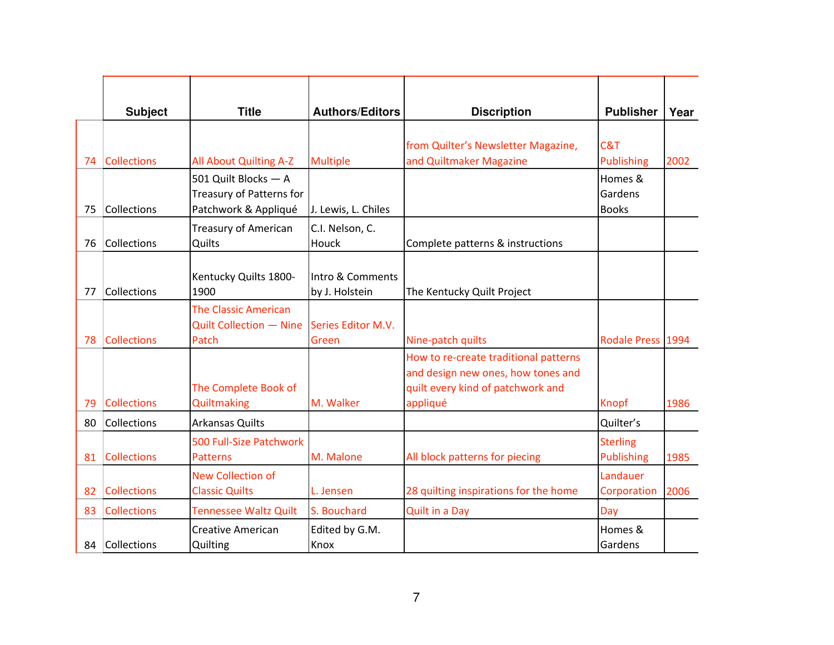|    | <b>Subject</b>     | <b>Title</b>                                                             | <b>Authors/Editors</b>             | <b>Discription</b>                                                                                                           | <b>Publisher</b>                     | Year |
|----|--------------------|--------------------------------------------------------------------------|------------------------------------|------------------------------------------------------------------------------------------------------------------------------|--------------------------------------|------|
| 74 | <b>Collections</b> | All About Quilting A-Z                                                   | <b>Multiple</b>                    | from Quilter's Newsletter Magazine,<br>and Quiltmaker Magazine                                                               | C&T<br><b>Publishing</b>             | 2002 |
| 75 | Collections        | 501 Quilt Blocks - A<br>Treasury of Patterns for<br>Patchwork & Appliqué | J. Lewis, L. Chiles                |                                                                                                                              | Homes &<br>Gardens<br><b>Books</b>   |      |
| 76 | Collections        | <b>Treasury of American</b><br>Quilts                                    | C.I. Nelson, C.<br>Houck           | Complete patterns & instructions                                                                                             |                                      |      |
| 77 | Collections        | Kentucky Quilts 1800-<br>1900                                            | Intro & Comments<br>by J. Holstein | The Kentucky Quilt Project                                                                                                   |                                      |      |
| 78 | <b>Collections</b> | <b>The Classic American</b><br>Quilt Collection - Nine<br>Patch          | Series Editor M.V.<br>Green        | Nine-patch quilts                                                                                                            | Rodale Press 1994                    |      |
| 79 | <b>Collections</b> | The Complete Book of<br><b>Quiltmaking</b>                               | M. Walker                          | How to re-create traditional patterns<br>and design new ones, how tones and<br>quilt every kind of patchwork and<br>appliqué | Knopf                                | 1986 |
| 80 | Collections        | <b>Arkansas Quilts</b>                                                   |                                    |                                                                                                                              | Quilter's                            |      |
| 81 | <b>Collections</b> | 500 Full-Size Patchwork<br><b>Patterns</b>                               | M. Malone                          | All block patterns for piecing                                                                                               | <b>Sterling</b><br><b>Publishing</b> | 1985 |
| 82 | <b>Collections</b> | <b>New Collection of</b><br><b>Classic Quilts</b>                        | L. Jensen                          | 28 quilting inspirations for the home                                                                                        | Landauer<br>Corporation              | 2006 |
| 83 | <b>Collections</b> | <b>Tennessee Waltz Quilt</b>                                             | S. Bouchard                        | <b>Quilt in a Day</b>                                                                                                        | Day                                  |      |
| 84 | Collections        | <b>Creative American</b><br>Quilting                                     | Edited by G.M.<br>Knox             |                                                                                                                              | Homes &<br>Gardens                   |      |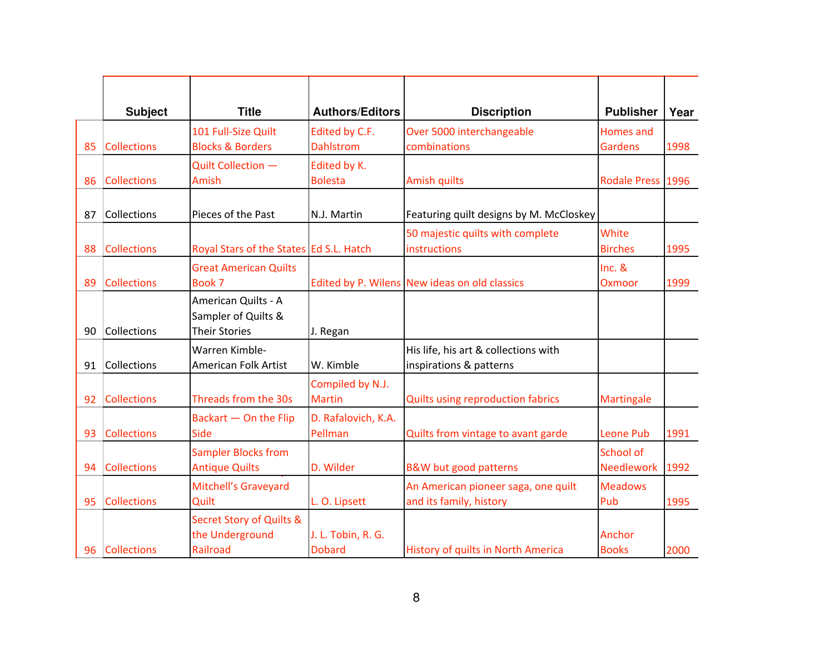|    | <b>Subject</b>     | <b>Title</b>                                                       | <b>Authors/Editors</b>              | <b>Discription</b>                                              | <b>Publisher</b>                   | Year |
|----|--------------------|--------------------------------------------------------------------|-------------------------------------|-----------------------------------------------------------------|------------------------------------|------|
| 85 | <b>Collections</b> | 101 Full-Size Quilt<br><b>Blocks &amp; Borders</b>                 | Edited by C.F.<br><b>Dahlstrom</b>  | Over 5000 interchangeable<br>combinations                       | <b>Homes</b> and<br><b>Gardens</b> | 1998 |
| 86 | <b>Collections</b> | Quilt Collection -<br>Amish                                        | Edited by K.<br><b>Bolesta</b>      | <b>Amish quilts</b>                                             | Rodale Press 1996                  |      |
| 87 | Collections        | Pieces of the Past                                                 | N.J. Martin                         | Featuring quilt designs by M. McCloskey                         |                                    |      |
| 88 | <b>Collections</b> | Royal Stars of the States Ed S.L. Hatch                            |                                     | 50 majestic quilts with complete<br>instructions                | White<br><b>Birches</b>            | 1995 |
| 89 | <b>Collections</b> | <b>Great American Quilts</b><br>Book 7                             |                                     | Edited by P. Wilens New ideas on old classics                   | Inc. 8<br>Oxmoor                   | 1999 |
| 90 | Collections        | American Quilts - A<br>Sampler of Quilts &<br><b>Their Stories</b> | J. Regan                            |                                                                 |                                    |      |
| 91 | Collections        | Warren Kimble-<br>American Folk Artist                             | W. Kimble                           | His life, his art & collections with<br>inspirations & patterns |                                    |      |
| 92 | <b>Collections</b> | Threads from the 30s                                               | Compiled by N.J.<br><b>Martin</b>   | <b>Quilts using reproduction fabrics</b>                        | <b>Martingale</b>                  |      |
| 93 | <b>Collections</b> | Backart - On the Flip<br><b>Side</b>                               | D. Rafalovich, K.A.<br>Pellman      | Quilts from vintage to avant garde                              | <b>Leone Pub</b>                   | 1991 |
| 94 | <b>Collections</b> | <b>Sampler Blocks from</b><br><b>Antique Quilts</b>                | D. Wilder                           | B&W but good patterns                                           | School of<br><b>Needlework</b>     | 1992 |
| 95 | <b>Collections</b> | Mitchell's Graveyard<br>Quilt                                      | L. O. Lipsett                       | An American pioneer saga, one quilt<br>and its family, history  | <b>Meadows</b><br>Pub              | 1995 |
| 96 | <b>Collections</b> | <b>Secret Story of Quilts &amp;</b><br>the Underground<br>Railroad | J. L. Tobin, R. G.<br><b>Dobard</b> | History of quilts in North America                              | Anchor<br><b>Books</b>             | 2000 |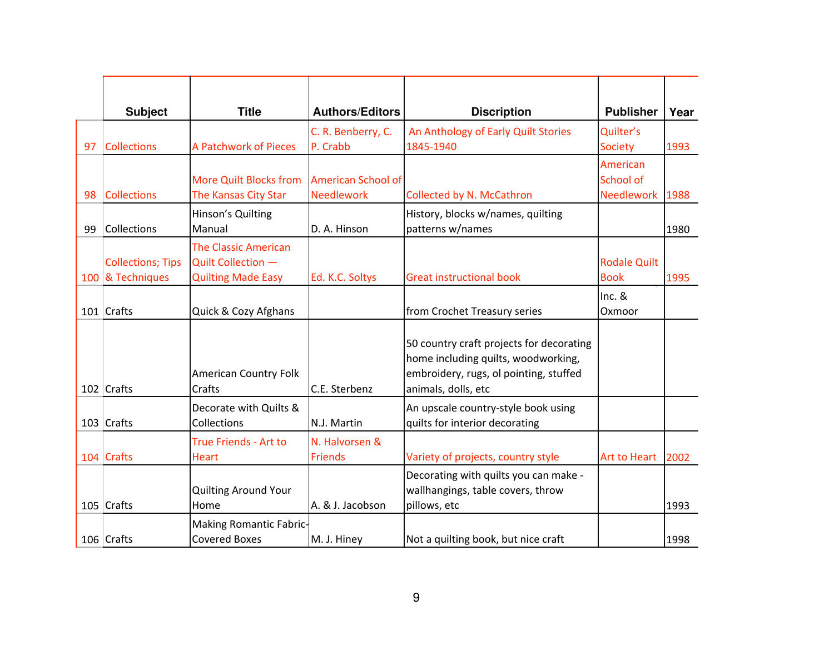|    | <b>Subject</b>                               | <b>Title</b>                                                                   | <b>Authors/Editors</b>                         | <b>Discription</b>                                                                                                                               | <b>Publisher</b>                           | Year |
|----|----------------------------------------------|--------------------------------------------------------------------------------|------------------------------------------------|--------------------------------------------------------------------------------------------------------------------------------------------------|--------------------------------------------|------|
| 97 | <b>Collections</b>                           | <b>A Patchwork of Pieces</b>                                                   | C. R. Benberry, C.<br>P. Crabb                 | An Anthology of Early Quilt Stories<br>1845-1940                                                                                                 | Quilter's<br><b>Society</b>                | 1993 |
| 98 | <b>Collections</b>                           | <b>More Quilt Blocks from</b><br>The Kansas City Star                          | <b>American School of</b><br><b>Needlework</b> | Collected by N. McCathron                                                                                                                        | American<br><b>School of</b><br>Needlework | 1988 |
| 99 | Collections                                  | Hinson's Quilting<br>Manual                                                    | D. A. Hinson                                   | History, blocks w/names, quilting<br>patterns w/names                                                                                            |                                            | 1980 |
|    | <b>Collections; Tips</b><br>100 & Techniques | <b>The Classic American</b><br>Quilt Collection -<br><b>Quilting Made Easy</b> | Ed. K.C. Soltys                                | <b>Great instructional book</b>                                                                                                                  | <b>Rodale Quilt</b><br><b>Book</b>         | 1995 |
|    | 101 Crafts                                   | Quick & Cozy Afghans                                                           |                                                | from Crochet Treasury series                                                                                                                     | $Inc.$ &<br>Oxmoor                         |      |
|    | 102 Crafts                                   | <b>American Country Folk</b><br>Crafts                                         | C.E. Sterbenz                                  | 50 country craft projects for decorating<br>home including quilts, woodworking,<br>embroidery, rugs, ol pointing, stuffed<br>animals, dolls, etc |                                            |      |
|    | 103 Crafts                                   | Decorate with Quilts &<br>Collections                                          | <b>N.J. Martin</b>                             | An upscale country-style book using<br>quilts for interior decorating                                                                            |                                            |      |
|    | 104 Crafts                                   | True Friends - Art to<br><b>Heart</b>                                          | N. Halvorsen &<br><b>Friends</b>               | Variety of projects, country style                                                                                                               | Art to Heart                               | 2002 |
|    | 105 Crafts                                   | <b>Quilting Around Your</b><br>Home                                            | A. & J. Jacobson                               | Decorating with quilts you can make -<br>wallhangings, table covers, throw<br>pillows, etc                                                       |                                            | 1993 |
|    | 106 Crafts                                   | Making Romantic Fabric-<br><b>Covered Boxes</b>                                | M. J. Hiney                                    | Not a quilting book, but nice craft                                                                                                              |                                            | 1998 |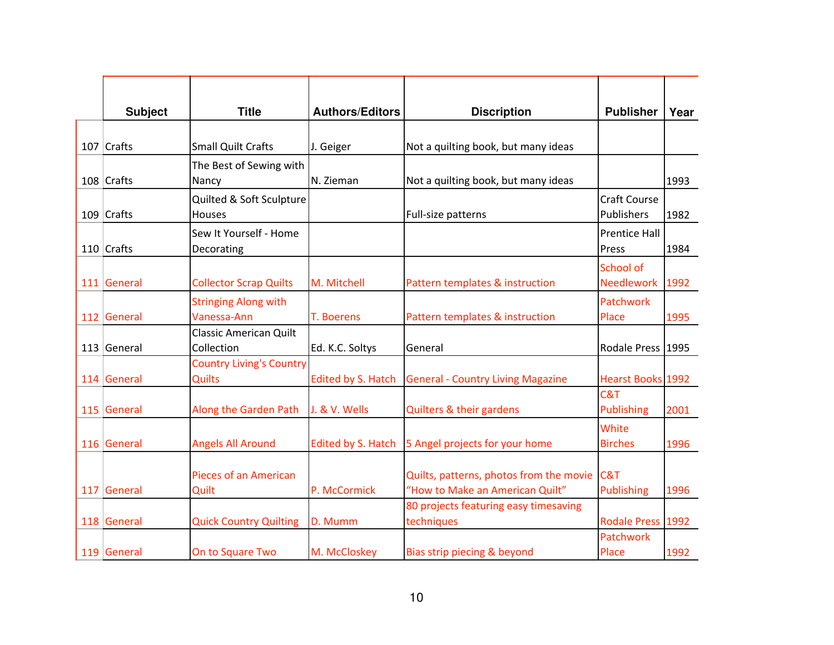| <b>Subject</b> | <b>Title</b>                    | <b>Authors/Editors</b>    | <b>Discription</b>                                                         | <b>Publisher</b>         | Year |
|----------------|---------------------------------|---------------------------|----------------------------------------------------------------------------|--------------------------|------|
|                |                                 |                           |                                                                            |                          |      |
| 107 Crafts     | <b>Small Quilt Crafts</b>       | J. Geiger                 | Not a quilting book, but many ideas                                        |                          |      |
|                | The Best of Sewing with         |                           |                                                                            |                          |      |
| 108 Crafts     | Nancy                           | N. Zieman                 | Not a quilting book, but many ideas                                        |                          | 1993 |
|                | Quilted & Soft Sculpture        |                           |                                                                            | <b>Craft Course</b>      |      |
| 109 Crafts     | <b>Houses</b>                   |                           | Full-size patterns                                                         | Publishers               | 1982 |
|                | Sew It Yourself - Home          |                           |                                                                            | <b>Prentice Hall</b>     |      |
| 110 Crafts     | Decorating                      |                           |                                                                            | Press                    | 1984 |
|                |                                 |                           |                                                                            | School of                |      |
| 111 General    | <b>Collector Scrap Quilts</b>   | M. Mitchell               | Pattern templates & instruction                                            | Needlework               | 1992 |
|                | <b>Stringing Along with</b>     |                           |                                                                            | Patchwork                |      |
| 112 General    | Vanessa-Ann                     | T. Boerens                | Pattern templates & instruction                                            | Place                    | 1995 |
|                | <b>Classic American Quilt</b>   |                           |                                                                            |                          |      |
| 113 General    | Collection                      | Ed. K.C. Soltys           | General                                                                    | Rodale Press   1995      |      |
|                | <b>Country Living's Country</b> |                           |                                                                            |                          |      |
| 114 General    | <b>Quilts</b>                   | <b>Edited by S. Hatch</b> | <b>General - Country Living Magazine</b>                                   | <b>Hearst Books 1992</b> |      |
|                |                                 |                           |                                                                            | C&T                      |      |
| 115 General    | Along the Garden Path           | J. & V. Wells             | Quilters & their gardens                                                   | <b>Publishing</b>        | 2001 |
|                |                                 |                           |                                                                            | White                    |      |
| 116 General    | <b>Angels All Around</b>        | <b>Edited by S. Hatch</b> | 5 Angel projects for your home                                             | <b>Birches</b>           | 1996 |
|                |                                 |                           |                                                                            |                          |      |
| 117 General    | Pieces of an American<br>Quilt  | P. McCormick              | Quilts, patterns, photos from the movie<br>"How to Make an American Quilt" | C&T<br>Publishing        | 1996 |
|                |                                 |                           | 80 projects featuring easy timesaving                                      |                          |      |
| 118 General    | <b>Quick Country Quilting</b>   | D. Mumm                   | techniques                                                                 | Rodale Press 1992        |      |
|                |                                 |                           |                                                                            | Patchwork                |      |
| 119 General    | On to Square Two                | M. McCloskey              | Bias strip piecing & beyond                                                | Place                    | 1992 |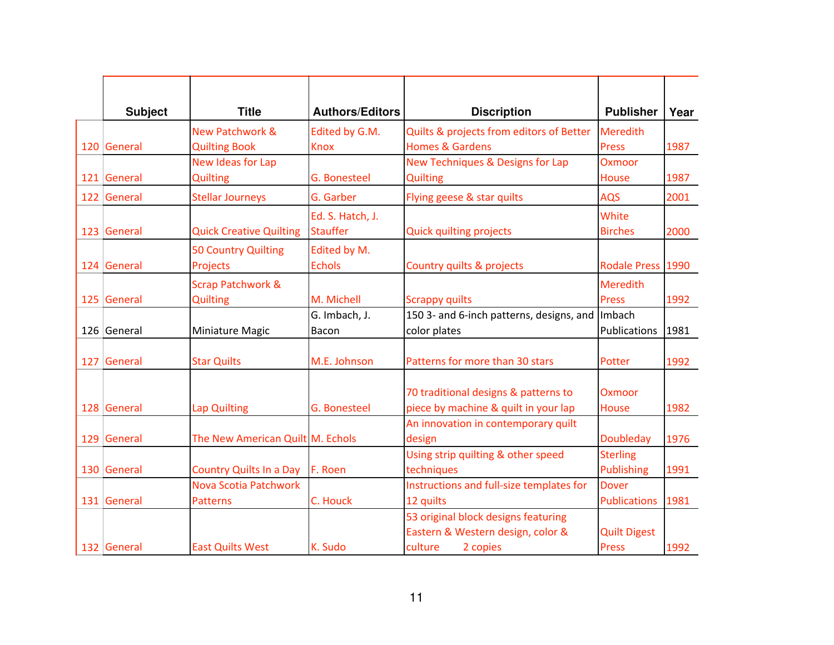| <b>Subject</b> | <b>Title</b>                                       | <b>Authors/Editors</b>              | <b>Discription</b>                                                                              | <b>Publisher</b>                     | Year |
|----------------|----------------------------------------------------|-------------------------------------|-------------------------------------------------------------------------------------------------|--------------------------------------|------|
| 120 General    | <b>New Patchwork &amp;</b><br><b>Quilting Book</b> | Edited by G.M.<br><b>Knox</b>       | Quilts & projects from editors of Better<br><b>Homes &amp; Gardens</b>                          | Meredith<br>Press                    | 1987 |
| 121 General    | New Ideas for Lap<br><b>Quilting</b>               | <b>G. Bonesteel</b>                 | New Techniques & Designs for Lap<br><b>Quilting</b>                                             | <b>Oxmoor</b><br><b>House</b>        | 1987 |
| 122 General    | <b>Stellar Journeys</b>                            | G. Garber                           | Flying geese & star quilts                                                                      | <b>AQS</b>                           | 2001 |
| 123 General    | <b>Quick Creative Quilting</b>                     | Ed. S. Hatch, J.<br><b>Stauffer</b> | <b>Quick quilting projects</b>                                                                  | White<br><b>Birches</b>              | 2000 |
| 124 General    | 50 Country Quilting<br>Projects                    | Edited by M.<br><b>Echols</b>       | Country quilts & projects                                                                       | Rodale Press 1990                    |      |
| 125 General    | <b>Scrap Patchwork &amp;</b><br><b>Quilting</b>    | M. Michell                          | <b>Scrappy quilts</b>                                                                           | <b>Meredith</b><br>Press             | 1992 |
| 126 General    | Miniature Magic                                    | G. Imbach, J.<br>Bacon              | 150 3- and 6-inch patterns, designs, and<br>color plates                                        | Imbach<br>Publications               | 1981 |
| 127 General    | <b>Star Quilts</b>                                 | M.E. Johnson                        | Patterns for more than 30 stars                                                                 | Potter                               | 1992 |
| 128 General    | Lap Quilting                                       | G. Bonesteel                        | 70 traditional designs & patterns to<br>piece by machine & quilt in your lap                    | <b>Oxmoor</b><br>House               | 1982 |
| 129 General    | The New American Quilt M. Echols                   |                                     | An innovation in contemporary quilt<br>design                                                   | <b>Doubleday</b>                     | 1976 |
| 130 General    | <b>Country Quilts In a Day</b>                     | F. Roen                             | Using strip quilting & other speed<br>techniques                                                | <b>Sterling</b><br><b>Publishing</b> | 1991 |
| 131 General    | Nova Scotia Patchwork<br><b>Patterns</b>           | C. Houck                            | Instructions and full-size templates for<br>12 quilts                                           | <b>Dover</b><br><b>Publications</b>  | 1981 |
| 132 General    | <b>East Quilts West</b>                            | K. Sudo                             | 53 original block designs featuring<br>Eastern & Western design, color &<br>culture<br>2 copies | <b>Quilt Digest</b><br><b>Press</b>  | 1992 |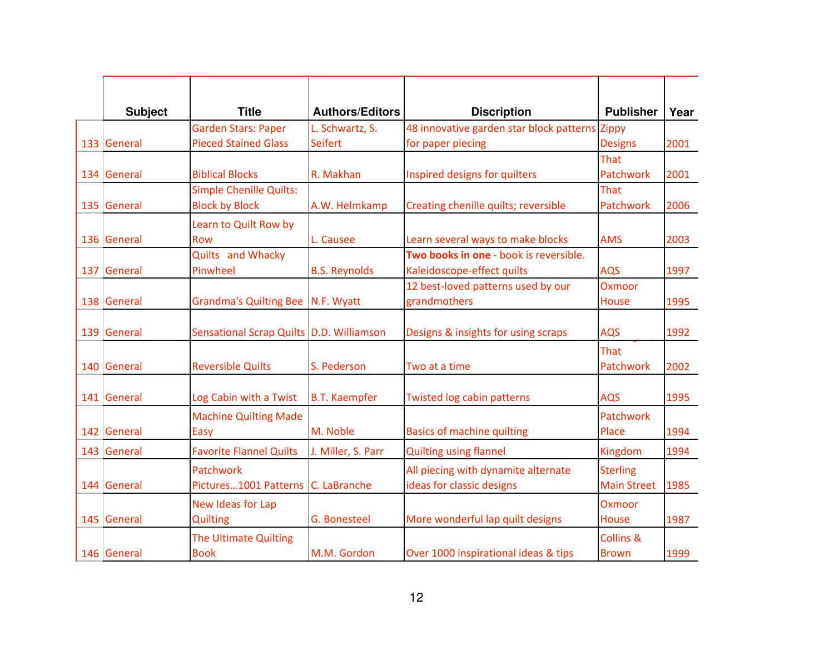| <b>Subject</b> | <b>Title</b>                                            | <b>Authors/Editors</b> | <b>Discription</b>                                                   | <b>Publisher</b>                      | Year |
|----------------|---------------------------------------------------------|------------------------|----------------------------------------------------------------------|---------------------------------------|------|
|                | <b>Garden Stars: Paper</b>                              | L. Schwartz, S.        | 48 innovative garden star block patterns                             | Zippy                                 |      |
| 133 General    | <b>Pieced Stained Glass</b>                             | <b>Seifert</b>         | for paper piecing                                                    | <b>Designs</b>                        | 2001 |
| 134 General    | <b>Biblical Blocks</b>                                  | R. Makhan              | Inspired designs for quilters                                        | That<br>Patchwork                     | 2001 |
| 135 General    | <b>Simple Chenille Quilts:</b><br><b>Block by Block</b> | A.W. Helmkamp          | Creating chenille quilts; reversible                                 | That<br>Patchwork                     | 2006 |
|                | Learn to Quilt Row by                                   |                        |                                                                      |                                       |      |
| 136 General    | <b>Row</b>                                              | L. Causee              | Learn several ways to make blocks                                    | <b>AMS</b>                            | 2003 |
| 137 General    | Quilts and Whacky<br>Pinwheel                           | <b>B.S. Reynolds</b>   | Two books in one - book is reversible.<br>Kaleidoscope-effect quilts | <b>AQS</b>                            | 1997 |
| 138 General    | Grandma's Quilting Bee N.F. Wyatt                       |                        | 12 best-loved patterns used by our<br>grandmothers                   | Oxmoor<br>House                       | 1995 |
| 139 General    | Sensational Scrap Quilts D.D. Williamson                |                        | Designs & insights for using scraps                                  | <b>AQS</b>                            | 1992 |
| 140 General    | <b>Reversible Quilts</b>                                | S. Pederson            | Two at a time                                                        | That<br>Patchwork                     | 2002 |
| 141 General    | Log Cabin with a Twist                                  | <b>B.T. Kaempfer</b>   | <b>Twisted log cabin patterns</b>                                    | <b>AQS</b>                            | 1995 |
| 142 General    | <b>Machine Quilting Made</b><br>Easy                    | M. Noble               | <b>Basics of machine quilting</b>                                    | Patchwork<br>Place                    | 1994 |
| 143 General    | <b>Favorite Flannel Quilts</b>                          | J. Miller, S. Parr     | <b>Quilting using flannel</b>                                        | Kingdom                               | 1994 |
| 144 General    | Patchwork<br>Pictures1001 Patterns C. LaBranche         |                        | All piecing with dynamite alternate<br>ideas for classic designs     | <b>Sterling</b><br><b>Main Street</b> | 1985 |
| 145 General    | New Ideas for Lap<br>Quilting                           | <b>G. Bonesteel</b>    | More wonderful lap quilt designs                                     | <b>Oxmoor</b><br><b>House</b>         | 1987 |
| 146 General    | <b>The Ultimate Quilting</b><br><b>Book</b>             | M.M. Gordon            | Over 1000 inspirational ideas & tips                                 | <b>Collins &amp;</b><br><b>Brown</b>  | 1999 |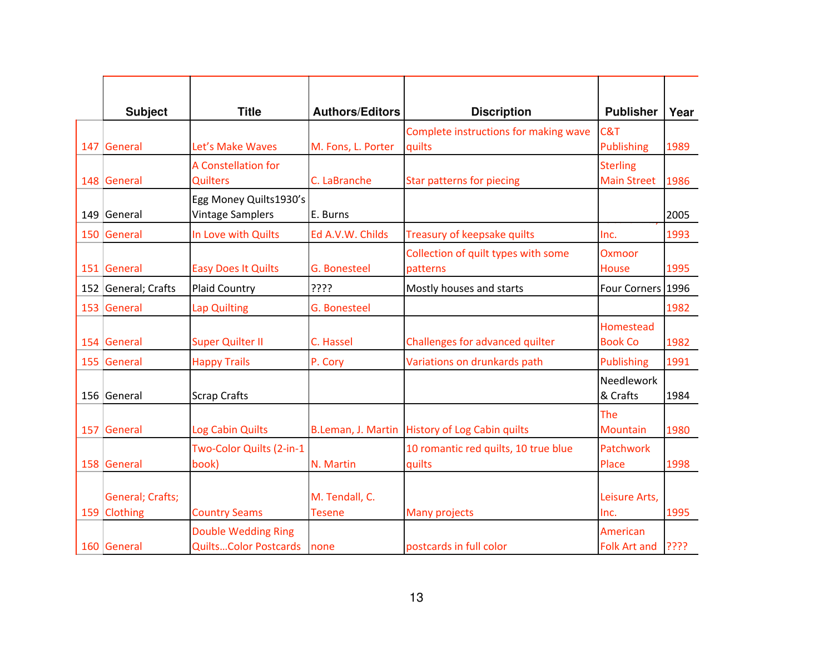| <b>Subject</b>                   | <b>Title</b>                                               | <b>Authors/Editors</b>          | <b>Discription</b>                              | <b>Publisher</b>                      | Year |
|----------------------------------|------------------------------------------------------------|---------------------------------|-------------------------------------------------|---------------------------------------|------|
| 147 General                      | Let's Make Waves                                           | M. Fons, L. Porter              | Complete instructions for making wave<br>quilts | C&T<br><b>Publishing</b>              | 1989 |
| 148 General                      | A Constellation for<br><b>Quilters</b>                     | C. LaBranche                    | Star patterns for piecing                       | <b>Sterling</b><br><b>Main Street</b> | 1986 |
| 149 General                      | Egg Money Quilts1930's<br><b>Vintage Samplers</b>          | E. Burns                        |                                                 |                                       | 2005 |
| 150 General                      | In Love with Quilts                                        | Ed A.V.W. Childs                | Treasury of keepsake quilts                     | Inc.                                  | 1993 |
| 151 General                      | <b>Easy Does It Quilts</b>                                 | <b>G. Bonesteel</b>             | Collection of quilt types with some<br>patterns | Oxmoor<br><b>House</b>                | 1995 |
| 152 General; Crafts              | <b>Plaid Country</b>                                       | ????                            | Mostly houses and starts                        | Four Corners 1996                     |      |
| 153 General                      | <b>Lap Quilting</b>                                        | <b>G. Bonesteel</b>             |                                                 |                                       | 1982 |
| 154 General                      | <b>Super Quilter II</b>                                    | C. Hassel                       | Challenges for advanced quilter                 | Homestead<br><b>Book Co</b>           | 1982 |
| 155 General                      | <b>Happy Trails</b>                                        | P. Cory                         | Variations on drunkards path                    | <b>Publishing</b>                     | 1991 |
| 156 General                      | <b>Scrap Crafts</b>                                        |                                 |                                                 | Needlework<br>& Crafts                | 1984 |
| 157 General                      | Log Cabin Quilts                                           |                                 | B.Leman, J. Martin History of Log Cabin quilts  | The<br><b>Mountain</b>                | 1980 |
| 158 General                      | Two-Color Quilts (2-in-1<br>book)                          | N. Martin                       | 10 romantic red quilts, 10 true blue<br>quilts  | Patchwork<br>Place                    | 1998 |
| General; Crafts;<br>159 Clothing | <b>Country Seams</b>                                       | M. Tendall, C.<br><b>Tesene</b> | Many projects                                   | Leisure Arts,<br>Inc.                 | 1995 |
| 160 General                      | <b>Double Wedding Ring</b><br><b>QuiltsColor Postcards</b> | none                            | postcards in full color                         | American<br><b>Folk Art and</b>       | ???? |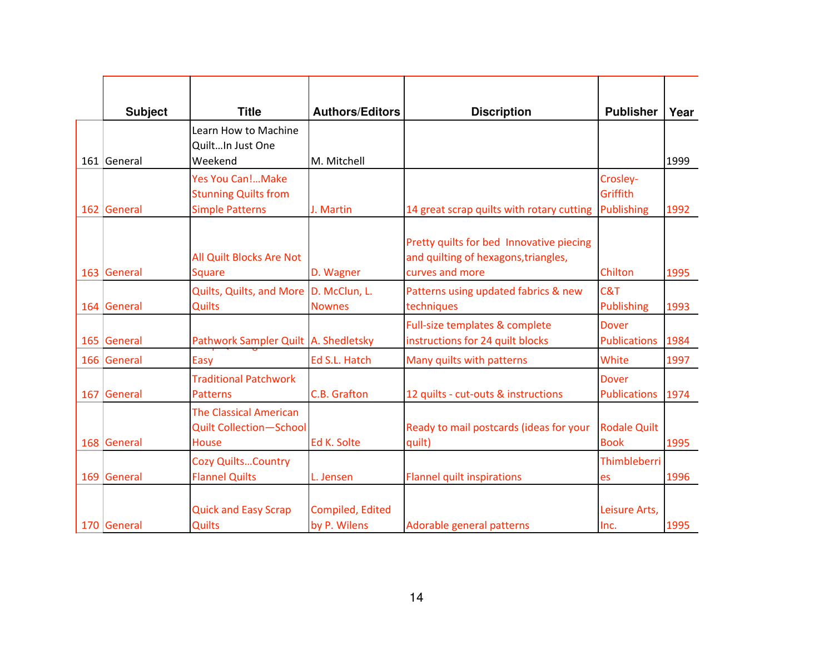| <b>Subject</b> | <b>Title</b><br>Learn How to Machine            | <b>Authors/Editors</b>           | <b>Discription</b>                                                                                  | <b>Publisher</b>                    | Year |
|----------------|-------------------------------------------------|----------------------------------|-----------------------------------------------------------------------------------------------------|-------------------------------------|------|
|                | QuiltIn Just One                                |                                  |                                                                                                     |                                     |      |
| 161 General    | Weekend                                         | M. Mitchell                      |                                                                                                     |                                     | 1999 |
|                | <b>Yes You Can!Make</b>                         |                                  |                                                                                                     | Crosley-                            |      |
|                | <b>Stunning Quilts from</b>                     |                                  |                                                                                                     | Griffith                            |      |
| 162 General    | <b>Simple Patterns</b>                          | J. Martin                        | 14 great scrap quilts with rotary cutting                                                           | <b>Publishing</b>                   | 1992 |
| 163 General    | All Quilt Blocks Are Not<br><b>Square</b>       | D. Wagner                        | Pretty quilts for bed Innovative piecing<br>and quilting of hexagons, triangles,<br>curves and more | Chilton                             | 1995 |
|                | Quilts, Quilts, and More D. McClun, L.          |                                  | Patterns using updated fabrics & new                                                                | C&T                                 |      |
| 164 General    | <b>Quilts</b>                                   | <b>Nownes</b>                    | techniques                                                                                          | <b>Publishing</b>                   | 1993 |
|                |                                                 |                                  | Full-size templates & complete                                                                      | <b>Dover</b>                        |      |
| 165 General    | Pathwork Sampler Quilt   A. Shedletsky          |                                  | instructions for 24 quilt blocks                                                                    | <b>Publications</b>                 | 1984 |
| 166 General    | Easy                                            | Ed S.L. Hatch                    | Many quilts with patterns                                                                           | White                               | 1997 |
| 167 General    | <b>Traditional Patchwork</b><br><b>Patterns</b> | C.B. Grafton                     | 12 quilts - cut-outs & instructions                                                                 | <b>Dover</b><br><b>Publications</b> | 1974 |
|                | <b>The Classical American</b>                   |                                  |                                                                                                     |                                     |      |
|                | <b>Quilt Collection-School</b>                  |                                  | Ready to mail postcards (ideas for your                                                             | <b>Rodale Quilt</b>                 |      |
| 168 General    | <b>House</b>                                    | Ed K. Solte                      | quilt)                                                                                              | <b>Book</b>                         | 1995 |
|                | <b>Cozy Quilts Country</b>                      |                                  |                                                                                                     | Thimbleberri                        |      |
| 169 General    | <b>Flannel Quilts</b>                           | L. Jensen                        | <b>Flannel quilt inspirations</b>                                                                   | es                                  | 1996 |
| 170 General    | <b>Quick and Easy Scrap</b><br><b>Quilts</b>    | Compiled, Edited<br>by P. Wilens | Adorable general patterns                                                                           | Leisure Arts,<br>Inc.               | 1995 |
|                |                                                 |                                  |                                                                                                     |                                     |      |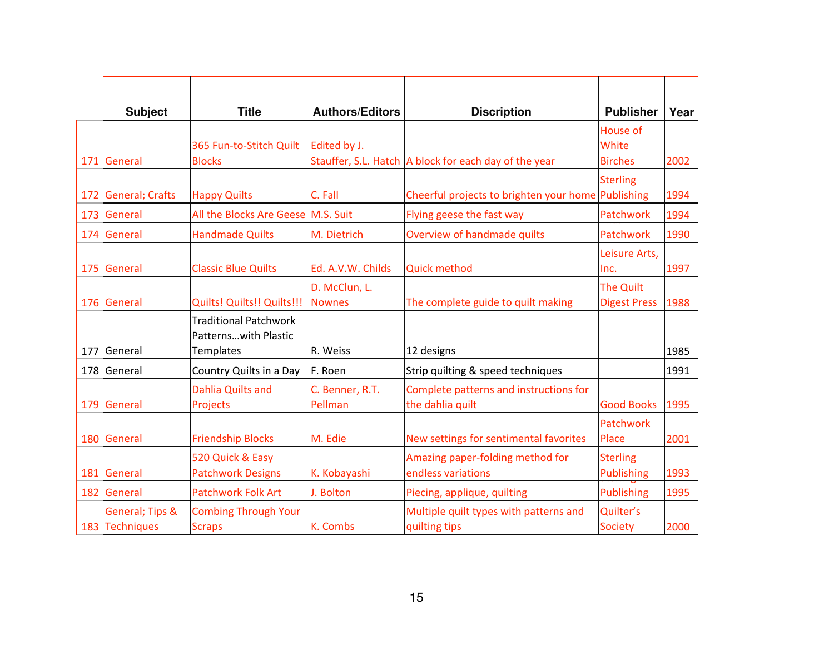| <b>Subject</b>                    | <b>Title</b>                                                             | <b>Authors/Editors</b>         | <b>Discription</b>                                         | <b>Publisher</b>                     | Year |
|-----------------------------------|--------------------------------------------------------------------------|--------------------------------|------------------------------------------------------------|--------------------------------------|------|
| 171 General                       | 365 Fun-to-Stitch Quilt<br><b>Blocks</b>                                 | Edited by J.                   | Stauffer, S.L. Hatch A block for each day of the year      | House of<br>White<br><b>Birches</b>  | 2002 |
| 172 General; Crafts               | <b>Happy Quilts</b>                                                      | C. Fall                        | Cheerful projects to brighten your home Publishing         | <b>Sterling</b>                      | 1994 |
| 173 General                       | All the Blocks Are Geese M.S. Suit                                       |                                | Flying geese the fast way                                  | Patchwork                            | 1994 |
| 174 General                       | <b>Handmade Quilts</b>                                                   | M. Dietrich                    | Overview of handmade quilts                                | Patchwork                            | 1990 |
| 175 General                       | <b>Classic Blue Quilts</b>                                               | Ed. A.V.W. Childs              | <b>Quick method</b>                                        | Leisure Arts,<br>Inc.                | 1997 |
| 176 General                       | Quilts! Quilts!! Quilts!!!                                               | D. McClun, L.<br><b>Nownes</b> | The complete guide to quilt making                         | The Quilt<br><b>Digest Press</b>     | 1988 |
| 177 General                       | <b>Traditional Patchwork</b><br>Patternswith Plastic<br><b>Templates</b> | R. Weiss                       | 12 designs                                                 |                                      | 1985 |
| 178 General                       | Country Quilts in a Day                                                  | F. Roen                        | Strip quilting & speed techniques                          |                                      | 1991 |
| 179 General                       | <b>Dahlia Quilts and</b><br>Projects                                     | C. Benner, R.T.<br>Pellman     | Complete patterns and instructions for<br>the dahlia quilt | <b>Good Books</b>                    | 1995 |
| 180 General                       | <b>Friendship Blocks</b>                                                 | M. Edie                        | New settings for sentimental favorites                     | Patchwork<br>Place                   | 2001 |
| 181 General                       | 520 Quick & Easy<br><b>Patchwork Designs</b>                             | K. Kobayashi                   | Amazing paper-folding method for<br>endless variations     | <b>Sterling</b><br><b>Publishing</b> | 1993 |
| 182 General                       | Patchwork Folk Art                                                       | J. Bolton                      | Piecing, applique, quilting                                | <b>Publishing</b>                    | 1995 |
| General; Tips &<br>183 Techniques | <b>Combing Through Your</b><br><b>Scraps</b>                             | K. Combs                       | Multiple quilt types with patterns and<br>quilting tips    | Quilter's<br><b>Society</b>          | 2000 |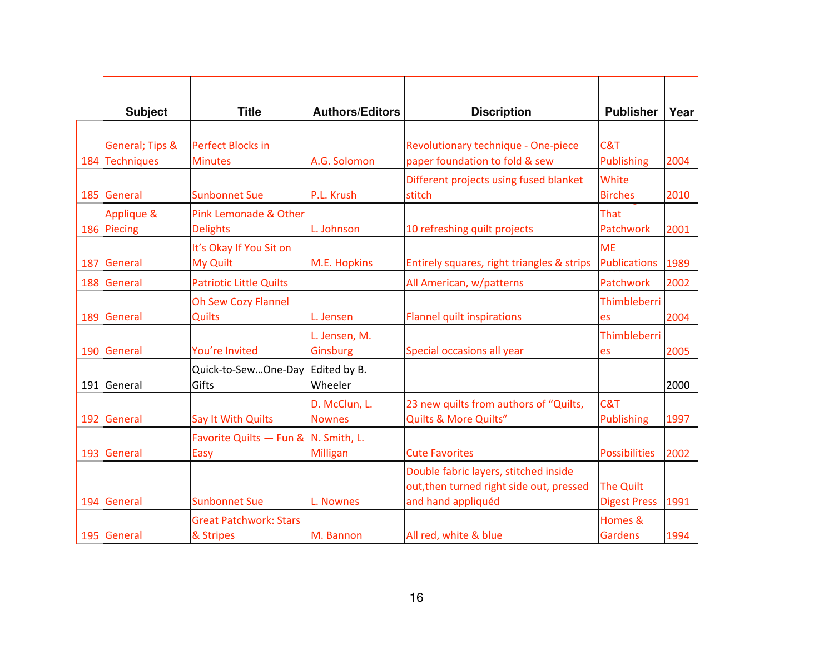|     | <b>Subject</b>                    | <b>Title</b>                                 | <b>Authors/Editors</b>         | <b>Discription</b>                                                                                      | <b>Publisher</b>                        | Year |
|-----|-----------------------------------|----------------------------------------------|--------------------------------|---------------------------------------------------------------------------------------------------------|-----------------------------------------|------|
|     | General; Tips &<br>184 Techniques | <b>Perfect Blocks in</b><br><b>Minutes</b>   | A.G. Solomon                   | Revolutionary technique - One-piece<br>paper foundation to fold & sew                                   | C&T<br><b>Publishing</b>                | 2004 |
|     | 185 General                       | <b>Sunbonnet Sue</b>                         | P.L. Krush                     | Different projects using fused blanket<br>stitch                                                        | White<br><b>Birches</b>                 | 2010 |
|     | Applique &<br>186 Piecing         | Pink Lemonade & Other<br><b>Delights</b>     | L. Johnson                     | 10 refreshing quilt projects                                                                            | That<br>Patchwork                       | 2001 |
| 187 | General                           | It's Okay If You Sit on<br>My Quilt          | M.E. Hopkins                   | Entirely squares, right triangles & strips                                                              | <b>ME</b><br><b>Publications</b>        | 1989 |
|     | 188 General                       | <b>Patriotic Little Quilts</b>               |                                | All American, w/patterns                                                                                | Patchwork                               | 2002 |
|     | 189 General                       | <b>Oh Sew Cozy Flannel</b><br><b>Quilts</b>  | L. Jensen                      | <b>Flannel quilt inspirations</b>                                                                       | Thimbleberri<br>es                      | 2004 |
|     | 190 General                       | You're Invited                               | L. Jensen, M.<br>Ginsburg      | Special occasions all year                                                                              | Thimbleberri<br>es                      | 2005 |
|     | 191 General                       | Quick-to-SewOne-Day Edited by B.<br>Gifts    | Wheeler                        |                                                                                                         |                                         | 2000 |
|     | 192 General                       | Say It With Quilts                           | D. McClun, L.<br><b>Nownes</b> | 23 new quilts from authors of "Quilts,<br><b>Quilts &amp; More Quilts"</b>                              | C&T<br><b>Publishing</b>                | 1997 |
|     | 193 General                       | Favorite Quilts - Fun & N. Smith, L.<br>Easy | Milligan                       | <b>Cute Favorites</b>                                                                                   | <b>Possibilities</b>                    | 2002 |
|     | 194 General                       | <b>Sunbonnet Sue</b>                         | L. Nownes                      | Double fabric layers, stitched inside<br>out, then turned right side out, pressed<br>and hand appliquéd | <b>The Quilt</b><br><b>Digest Press</b> | 1991 |
|     | 195 General                       | <b>Great Patchwork: Stars</b><br>& Stripes   | M. Bannon                      | All red, white & blue                                                                                   | Homes &<br>Gardens                      | 1994 |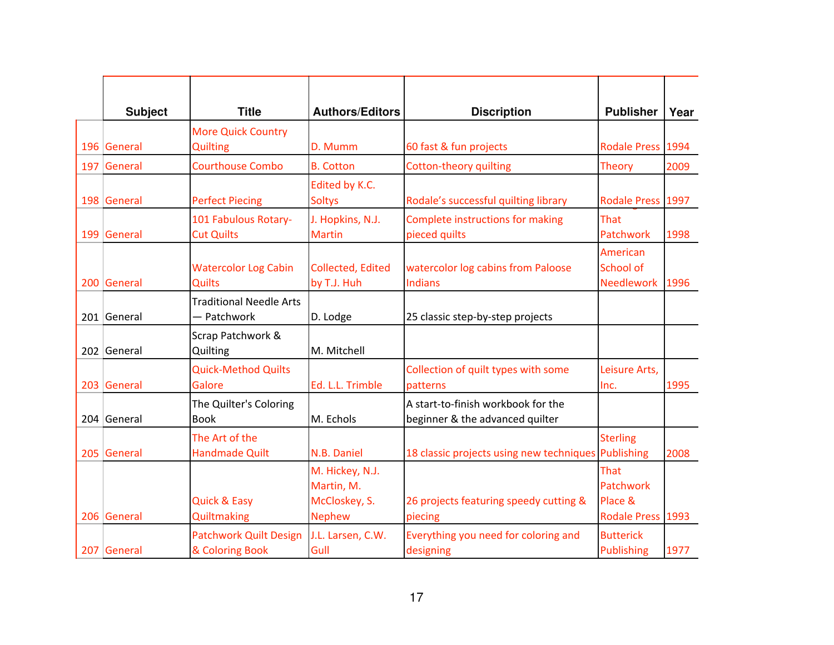| <b>Subject</b> | <b>Title</b>                                     | <b>Authors/Editors</b>                                          | <b>Discription</b>                                                    | <b>Publisher</b>                                  | Year |
|----------------|--------------------------------------------------|-----------------------------------------------------------------|-----------------------------------------------------------------------|---------------------------------------------------|------|
|                | <b>More Quick Country</b>                        |                                                                 |                                                                       |                                                   |      |
| 196 General    | <b>Quilting</b>                                  | D. Mumm                                                         | 60 fast & fun projects                                                | Rodale Press 1994                                 |      |
| 197 General    | <b>Courthouse Combo</b>                          | <b>B.</b> Cotton                                                | <b>Cotton-theory quilting</b>                                         | <b>Theory</b>                                     | 2009 |
| 198 General    | <b>Perfect Piecing</b>                           | Edited by K.C.<br><b>Soltys</b>                                 | Rodale's successful quilting library                                  | Rodale Press 1997                                 |      |
| 199 General    | 101 Fabulous Rotary-<br><b>Cut Quilts</b>        | J. Hopkins, N.J.<br><b>Martin</b>                               | Complete instructions for making<br>pieced quilts                     | That<br>Patchwork                                 | 1998 |
| 200 General    | <b>Watercolor Log Cabin</b><br>Quilts            | <b>Collected, Edited</b><br>by T.J. Huh                         | watercolor log cabins from Paloose<br><b>Indians</b>                  | American<br>School of<br><b>Needlework</b>        | 1996 |
| 201 General    | <b>Traditional Needle Arts</b><br>- Patchwork    | D. Lodge                                                        | 25 classic step-by-step projects                                      |                                                   |      |
| 202 General    | Scrap Patchwork &<br>Quilting                    | M. Mitchell                                                     |                                                                       |                                                   |      |
| 203 General    | <b>Quick-Method Quilts</b><br>Galore             | Ed. L.L. Trimble                                                | Collection of quilt types with some<br>patterns                       | Leisure Arts,<br>Inc.                             | 1995 |
| 204 General    | The Quilter's Coloring<br><b>Book</b>            | M. Echols                                                       | A start-to-finish workbook for the<br>beginner & the advanced quilter |                                                   |      |
| 205 General    | The Art of the<br><b>Handmade Quilt</b>          | N.B. Daniel                                                     | 18 classic projects using new techniques Publishing                   | <b>Sterling</b>                                   | 2008 |
| 206 General    | <b>Quick &amp; Easy</b><br>Quiltmaking           | M. Hickey, N.J.<br>Martin, M.<br>McCloskey, S.<br><b>Nephew</b> | 26 projects featuring speedy cutting &<br>piecing                     | That<br>Patchwork<br>Place &<br>Rodale Press 1993 |      |
| 207 General    | <b>Patchwork Quilt Design</b><br>& Coloring Book | J.L. Larsen, C.W.<br>Gull                                       | Everything you need for coloring and<br>designing                     | <b>Butterick</b><br><b>Publishing</b>             | 1977 |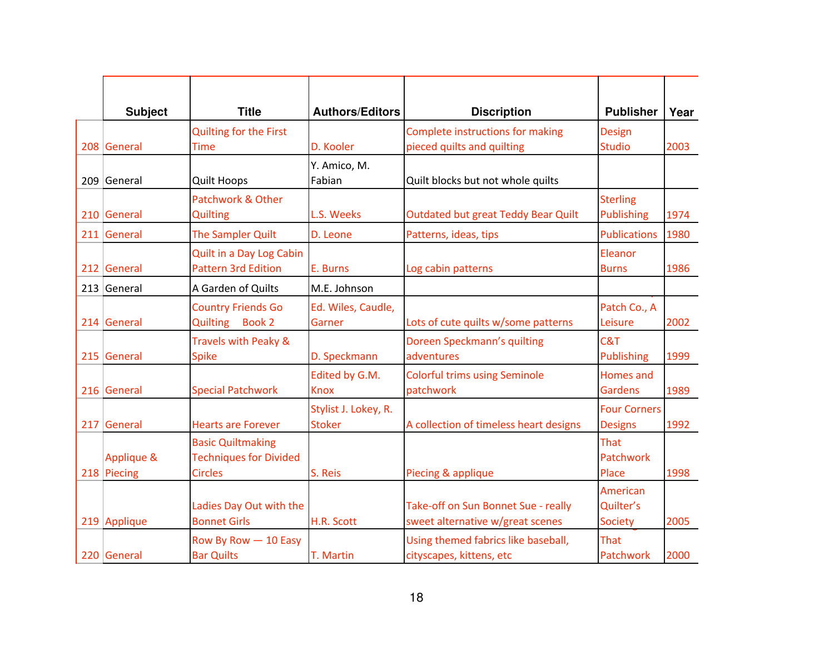| <b>Subject</b> | <b>Title</b>                                              | <b>Authors/Editors</b>                | <b>Discription</b>                                                      | <b>Publisher</b>                        | Year |
|----------------|-----------------------------------------------------------|---------------------------------------|-------------------------------------------------------------------------|-----------------------------------------|------|
|                | Quilting for the First                                    |                                       | Complete instructions for making                                        | <b>Design</b>                           |      |
| 208 General    | <b>Time</b>                                               | D. Kooler                             | pieced quilts and quilting                                              | <b>Studio</b>                           | 2003 |
| 209 General    | <b>Quilt Hoops</b>                                        | Y. Amico, M.<br>Fabian                | Quilt blocks but not whole quilts                                       |                                         |      |
| 210 General    | Patchwork & Other<br><b>Quilting</b>                      | L.S. Weeks                            | <b>Outdated but great Teddy Bear Quilt</b>                              | <b>Sterling</b><br>Publishing           | 1974 |
| 211 General    | The Sampler Quilt                                         | D. Leone                              | Patterns, ideas, tips                                                   | <b>Publications</b>                     | 1980 |
| 212 General    | Quilt in a Day Log Cabin<br><b>Pattern 3rd Edition</b>    | E. Burns                              | Log cabin patterns                                                      | Eleanor<br><b>Burns</b>                 | 1986 |
| 213 General    | A Garden of Quilts                                        | M.E. Johnson                          |                                                                         |                                         |      |
| 214 General    | <b>Country Friends Go</b><br>Quilting Book 2              | Ed. Wiles, Caudle,<br>Garner          | Lots of cute quilts w/some patterns                                     | Patch Co., A<br>Leisure                 | 2002 |
| 215 General    | Travels with Peaky &<br><b>Spike</b>                      | D. Speckmann                          | Doreen Speckmann's quilting<br>adventures                               | C&T<br>Publishing                       | 1999 |
| 216 General    | <b>Special Patchwork</b>                                  | Edited by G.M.<br><b>Knox</b>         | <b>Colorful trims using Seminole</b><br>patchwork                       | Homes and<br><b>Gardens</b>             | 1989 |
| 217 General    | <b>Hearts are Forever</b>                                 | Stylist J. Lokey, R.<br><b>Stoker</b> | A collection of timeless heart designs                                  | <b>Four Corners</b><br><b>Designs</b>   | 1992 |
| Applique &     | <b>Basic Quiltmaking</b><br><b>Techniques for Divided</b> |                                       |                                                                         | That<br>Patchwork                       |      |
| 218 Piecing    | <b>Circles</b>                                            | S. Reis                               | Piecing & applique                                                      | Place                                   | 1998 |
| 219 Applique   | Ladies Day Out with the<br><b>Bonnet Girls</b>            | H.R. Scott                            | Take-off on Sun Bonnet Sue - really<br>sweet alternative w/great scenes | American<br>Quilter's<br><b>Society</b> | 2005 |
| 220 General    | Row By Row - 10 Easy<br><b>Bar Quilts</b>                 | T. Martin                             | Using themed fabrics like baseball,<br>cityscapes, kittens, etc         | That<br>Patchwork                       | 2000 |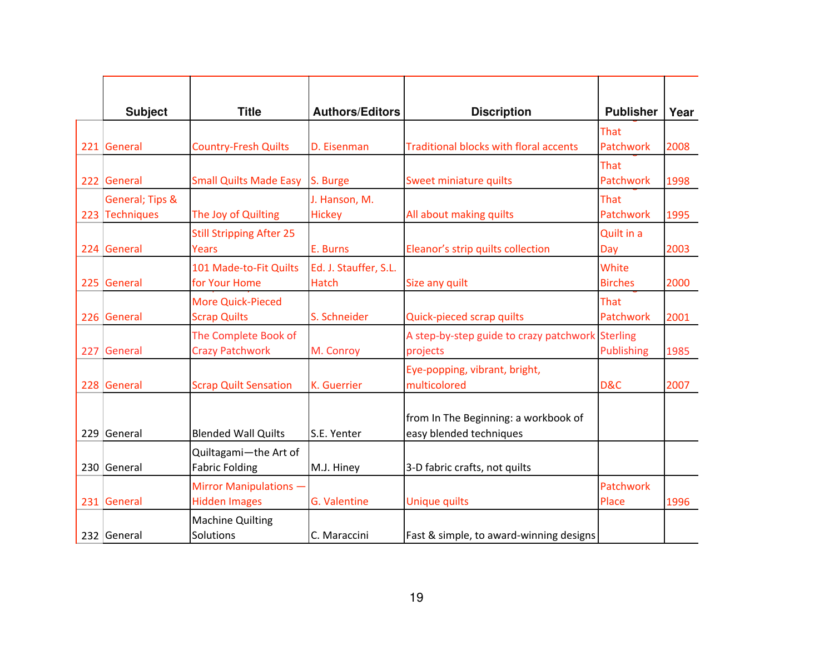| <b>Subject</b>                    | <b>Title</b>                                    | <b>Authors/Editors</b>                | <b>Discription</b>                                              | <b>Publisher</b>        | Year |
|-----------------------------------|-------------------------------------------------|---------------------------------------|-----------------------------------------------------------------|-------------------------|------|
| 221 General                       | <b>Country-Fresh Quilts</b>                     | D. Eisenman                           | <b>Traditional blocks with floral accents</b>                   | That<br>Patchwork       | 2008 |
| 222 General                       | <b>Small Quilts Made Easy</b>                   | S. Burge                              | Sweet miniature quilts                                          | That<br>Patchwork       | 1998 |
| General; Tips &<br>223 Techniques | The Joy of Quilting                             | J. Hanson, M.<br><b>Hickey</b>        | All about making quilts                                         | That<br>Patchwork       | 1995 |
| 224 General                       | <b>Still Stripping After 25</b><br><b>Years</b> | E. Burns                              | Eleanor's strip quilts collection                               | Quilt in a<br>Day       | 2003 |
| 225 General                       | 101 Made-to-Fit Quilts<br>for Your Home         | Ed. J. Stauffer, S.L.<br><b>Hatch</b> | Size any quilt                                                  | White<br><b>Birches</b> | 2000 |
| 226 General                       | <b>More Quick-Pieced</b><br><b>Scrap Quilts</b> | S. Schneider                          | Quick-pieced scrap quilts                                       | That<br>Patchwork       | 2001 |
| 227 General                       | The Complete Book of<br><b>Crazy Patchwork</b>  | M. Conroy                             | A step-by-step guide to crazy patchwork Sterling<br>projects    | Publishing              | 1985 |
| 228 General                       | <b>Scrap Quilt Sensation</b>                    | <b>K.</b> Guerrier                    | Eye-popping, vibrant, bright,<br>multicolored                   | D&C                     | 2007 |
| 229 General                       | <b>Blended Wall Quilts</b>                      | S.E. Yenter                           | from In The Beginning: a workbook of<br>easy blended techniques |                         |      |
| 230 General                       | Quiltagami-the Art of<br><b>Fabric Folding</b>  | M.J. Hiney                            | 3-D fabric crafts, not quilts                                   |                         |      |
| 231 General                       | Mirror Manipulations -<br><b>Hidden Images</b>  | G. Valentine                          | <b>Unique quilts</b>                                            | Patchwork<br>Place      | 1996 |
| 232 General                       | <b>Machine Quilting</b><br>Solutions            | C. Maraccini                          | Fast & simple, to award-winning designs                         |                         |      |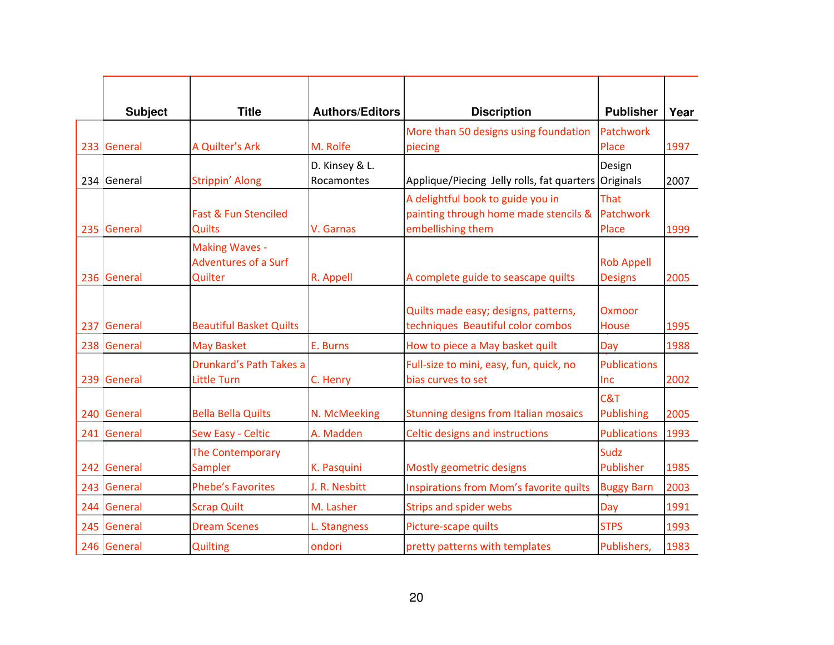| <b>Subject</b> | <b>Title</b>                                                    | <b>Authors/Editors</b>       | <b>Discription</b>                                                                              | <b>Publisher</b>                    | Year |
|----------------|-----------------------------------------------------------------|------------------------------|-------------------------------------------------------------------------------------------------|-------------------------------------|------|
| 233 General    | A Quilter's Ark                                                 | M. Rolfe                     | More than 50 designs using foundation<br>piecing                                                | Patchwork<br>Place                  | 1997 |
| 234 General    | Strippin' Along                                                 | D. Kinsey & L.<br>Rocamontes | Applique/Piecing Jelly rolls, fat quarters                                                      | Design<br>Originals                 | 2007 |
| 235 General    | Fast & Fun Stenciled<br><b>Quilts</b>                           | V. Garnas                    | A delightful book to guide you in<br>painting through home made stencils &<br>embellishing them | That<br>Patchwork<br>Place          | 1999 |
| 236 General    | <b>Making Waves -</b><br><b>Adventures of a Surf</b><br>Quilter | R. Appell                    | A complete guide to seascape quilts                                                             | <b>Rob Appell</b><br><b>Designs</b> | 2005 |
| 237 General    | <b>Beautiful Basket Quilts</b>                                  |                              | Quilts made easy; designs, patterns,<br>techniques Beautiful color combos                       | <b>Oxmoor</b><br><b>House</b>       | 1995 |
| 238 General    | <b>May Basket</b>                                               | E. Burns                     | How to piece a May basket quilt                                                                 | Day                                 | 1988 |
| 239 General    | Drunkard's Path Takes a<br><b>Little Turn</b>                   | C. Henry                     | Full-size to mini, easy, fun, quick, no<br>bias curves to set                                   | <b>Publications</b><br>Inc          | 2002 |
| 240 General    | <b>Bella Bella Quilts</b>                                       | N. McMeeking                 | <b>Stunning designs from Italian mosaics</b>                                                    | C&T<br><b>Publishing</b>            | 2005 |
| 241 General    | Sew Easy - Celtic                                               | A. Madden                    | Celtic designs and instructions                                                                 | <b>Publications</b>                 | 1993 |
| 242 General    | The Contemporary<br>Sampler                                     | K. Pasquini                  | Mostly geometric designs                                                                        | Sudz<br>Publisher                   | 1985 |
| 243 General    | <b>Phebe's Favorites</b>                                        | J. R. Nesbitt                | Inspirations from Mom's favorite quilts                                                         | <b>Buggy Barn</b>                   | 2003 |
| 244 General    | <b>Scrap Quilt</b>                                              | M. Lasher                    | <b>Strips and spider webs</b>                                                                   | Day                                 | 1991 |
| 245 General    | <b>Dream Scenes</b>                                             | L. Stangness                 | Picture-scape quilts                                                                            | <b>STPS</b>                         | 1993 |
| 246 General    | <b>Quilting</b>                                                 | ondori                       | pretty patterns with templates                                                                  | Publishers,                         | 1983 |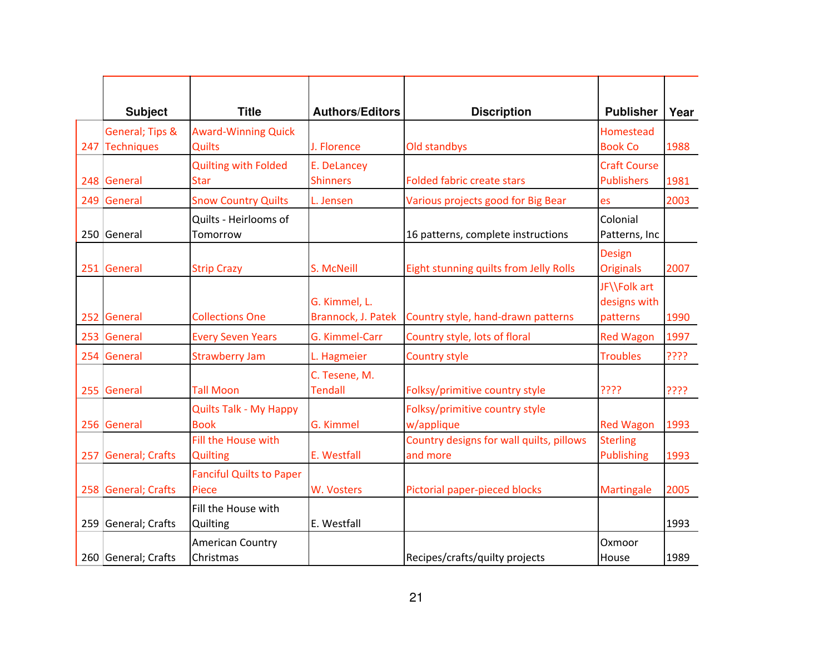| <b>Subject</b>      | <b>Title</b>                    | <b>Authors/Editors</b> | <b>Discription</b>                       | <b>Publisher</b>    | Year |
|---------------------|---------------------------------|------------------------|------------------------------------------|---------------------|------|
| General; Tips &     | <b>Award-Winning Quick</b>      |                        |                                          | Homestead           |      |
| 247 Techniques      | Quilts                          | J. Florence            | Old standbys                             | <b>Book Co</b>      | 1988 |
|                     | <b>Quilting with Folded</b>     | E. DeLancey            |                                          | <b>Craft Course</b> |      |
| 248 General         | <b>Star</b>                     | <b>Shinners</b>        | <b>Folded fabric create stars</b>        | <b>Publishers</b>   | 1981 |
| 249 General         | <b>Snow Country Quilts</b>      | L. Jensen              | Various projects good for Big Bear       | es                  | 2003 |
|                     | Quilts - Heirlooms of           |                        |                                          | Colonial            |      |
| 250 General         | Tomorrow                        |                        | 16 patterns, complete instructions       | Patterns, Inc       |      |
|                     |                                 |                        |                                          | <b>Design</b>       |      |
| 251 General         | <b>Strip Crazy</b>              | S. McNeill             | Eight stunning quilts from Jelly Rolls   | <b>Originals</b>    | 2007 |
|                     |                                 |                        |                                          | JF\\Folk art        |      |
|                     |                                 | G. Kimmel, L.          |                                          | designs with        |      |
| 252 General         | <b>Collections One</b>          | Brannock, J. Patek     | Country style, hand-drawn patterns       | patterns            | 1990 |
| 253 General         | <b>Every Seven Years</b>        | G. Kimmel-Carr         | Country style, lots of floral            | <b>Red Wagon</b>    | 1997 |
| 254 General         | <b>Strawberry Jam</b>           | L. Hagmeier            | <b>Country style</b>                     | <b>Troubles</b>     | ???? |
|                     |                                 | C. Tesene, M.          |                                          |                     |      |
| 255 General         | <b>Tall Moon</b>                | <b>Tendall</b>         | Folksy/primitive country style           | ????                | ???? |
|                     | <b>Quilts Talk - My Happy</b>   |                        | Folksy/primitive country style           |                     |      |
| 256 General         | <b>Book</b>                     | G. Kimmel              | w/applique                               | <b>Red Wagon</b>    | 1993 |
|                     | Fill the House with             |                        | Country designs for wall quilts, pillows | <b>Sterling</b>     |      |
| 257 General; Crafts | <b>Quilting</b>                 | E. Westfall            | and more                                 | Publishing          | 1993 |
|                     | <b>Fanciful Quilts to Paper</b> |                        |                                          |                     |      |
| 258 General; Crafts | Piece                           | W. Vosters             | Pictorial paper-pieced blocks            | Martingale          | 2005 |
|                     | Fill the House with             |                        |                                          |                     |      |
| 259 General; Crafts | Quilting                        | E. Westfall            |                                          |                     | 1993 |
|                     | <b>American Country</b>         |                        |                                          | Oxmoor              |      |
| 260 General; Crafts | Christmas                       |                        | Recipes/crafts/quilty projects           | House               | 1989 |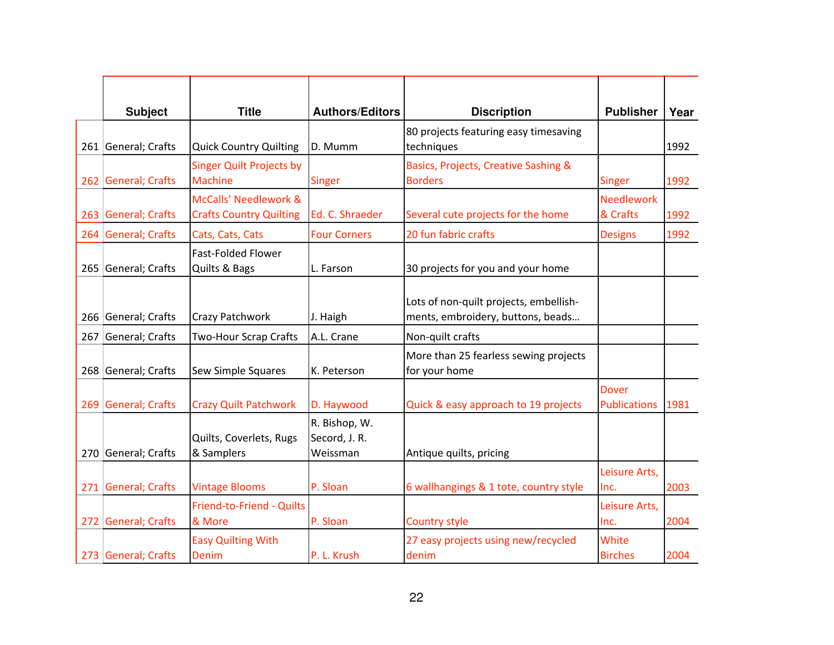| <b>Subject</b>      | <b>Title</b>                                      | <b>Authors/Editors</b>                     | <b>Discription</b>                                                          | <b>Publisher</b>             | Year |
|---------------------|---------------------------------------------------|--------------------------------------------|-----------------------------------------------------------------------------|------------------------------|------|
| 261 General; Crafts | <b>Quick Country Quilting</b>                     | D. Mumm                                    | 80 projects featuring easy timesaving<br>techniques                         |                              | 1992 |
|                     |                                                   |                                            |                                                                             |                              |      |
| 262 General; Crafts | <b>Singer Quilt Projects by</b><br><b>Machine</b> | <b>Singer</b>                              | Basics, Projects, Creative Sashing &<br><b>Borders</b>                      | <b>Singer</b>                | 1992 |
|                     | McCalls' Needlework &                             |                                            |                                                                             | <b>Needlework</b>            |      |
| 263 General; Crafts | <b>Crafts Country Quilting</b>                    | Ed. C. Shraeder                            | Several cute projects for the home                                          | & Crafts                     | 1992 |
| 264 General; Crafts | Cats, Cats, Cats                                  | <b>Four Corners</b>                        | 20 fun fabric crafts                                                        | <b>Designs</b>               | 1992 |
|                     | <b>Fast-Folded Flower</b>                         |                                            |                                                                             |                              |      |
| 265 General; Crafts | Quilts & Bags                                     | L. Farson                                  | 30 projects for you and your home                                           |                              |      |
| 266 General; Crafts | Crazy Patchwork                                   | J. Haigh                                   | Lots of non-quilt projects, embellish-<br>ments, embroidery, buttons, beads |                              |      |
| 267 General; Crafts | <b>Two-Hour Scrap Crafts</b>                      | A.L. Crane                                 | Non-quilt crafts                                                            |                              |      |
| 268 General; Crafts | Sew Simple Squares                                | K. Peterson                                | More than 25 fearless sewing projects<br>for your home                      |                              |      |
| 269 General; Crafts | <b>Crazy Quilt Patchwork</b>                      | D. Haywood                                 | Quick & easy approach to 19 projects                                        | Dover<br><b>Publications</b> | 1981 |
| 270 General; Crafts | Quilts, Coverlets, Rugs<br>& Samplers             | R. Bishop, W.<br>Secord, J. R.<br>Weissman | Antique quilts, pricing                                                     |                              |      |
| 271 General; Crafts | <b>Vintage Blooms</b>                             | P. Sloan                                   | 6 wallhangings & 1 tote, country style                                      | Leisure Arts,<br>Inc.        | 2003 |
| 272 General; Crafts | Friend-to-Friend - Quilts<br>& More               | P. Sloan                                   | <b>Country style</b>                                                        | Leisure Arts,<br>Inc.        | 2004 |
| 273 General; Crafts | <b>Easy Quilting With</b><br>Denim                | P. L. Krush                                | 27 easy projects using new/recycled<br>denim                                | White<br><b>Birches</b>      | 2004 |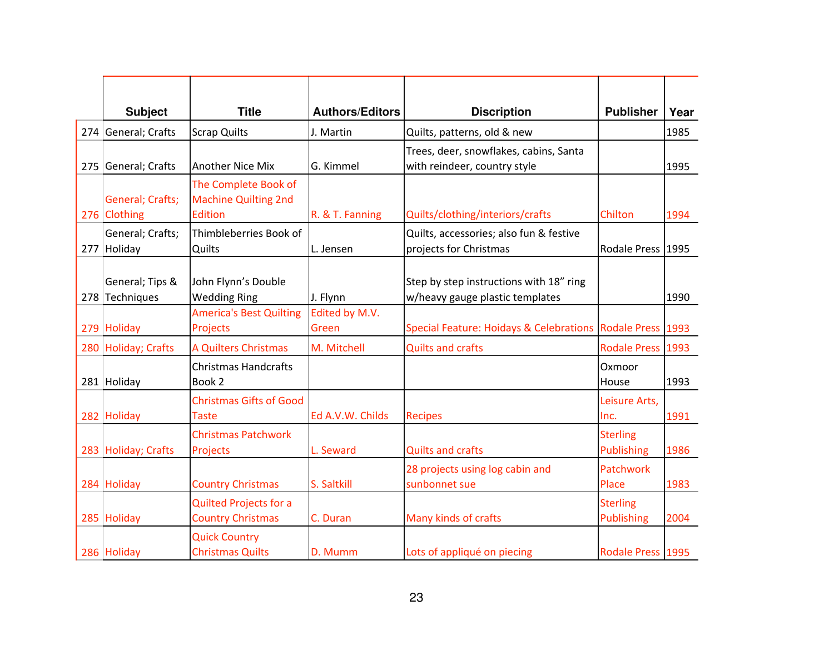| <b>Subject</b>                    | <b>Title</b>                                                   | <b>Authors/Editors</b>  | <b>Discription</b>                                                         | <b>Publisher</b>                     | Year |
|-----------------------------------|----------------------------------------------------------------|-------------------------|----------------------------------------------------------------------------|--------------------------------------|------|
| 274 General; Crafts               | <b>Scrap Quilts</b>                                            | J. Martin               | Quilts, patterns, old & new                                                |                                      | 1985 |
| 275 General; Crafts               | <b>Another Nice Mix</b>                                        | G. Kimmel               | Trees, deer, snowflakes, cabins, Santa<br>with reindeer, country style     |                                      | 1995 |
| General; Crafts;<br>276 Clothing  | The Complete Book of<br><b>Machine Quilting 2nd</b><br>Edition | R. & T. Fanning         | Quilts/clothing/interiors/crafts                                           | Chilton                              | 1994 |
| General; Crafts;<br>277 Holiday   | Thimbleberries Book of<br>Quilts                               | L. Jensen               | Quilts, accessories; also fun & festive<br>projects for Christmas          | Rodale Press 1995                    |      |
| General; Tips &<br>278 Techniques | John Flynn's Double<br><b>Wedding Ring</b>                     | J. Flynn                | Step by step instructions with 18" ring<br>w/heavy gauge plastic templates |                                      | 1990 |
| 279 Holiday                       | <b>America's Best Quilting</b><br>Projects                     | Edited by M.V.<br>Green | Special Feature: Hoidays & Celebrations Rodale Press 1993                  |                                      |      |
| 280 Holiday; Crafts               | A Quilters Christmas                                           | M. Mitchell             | <b>Quilts and crafts</b>                                                   | Rodale Press 1993                    |      |
| 281 Holiday                       | <b>Christmas Handcrafts</b><br>Book 2                          |                         |                                                                            | Oxmoor<br>House                      | 1993 |
| 282 Holiday                       | <b>Christmas Gifts of Good</b><br><b>Taste</b>                 | Ed A.V.W. Childs        | <b>Recipes</b>                                                             | Leisure Arts,<br>Inc.                | 1991 |
| 283 Holiday; Crafts               | <b>Christmas Patchwork</b><br>Projects                         | L. Seward               | <b>Quilts and crafts</b>                                                   | <b>Sterling</b><br>Publishing        | 1986 |
| 284 Holiday                       | <b>Country Christmas</b>                                       | S. Saltkill             | 28 projects using log cabin and<br>sunbonnet sue                           | Patchwork<br>Place                   | 1983 |
| 285 Holiday                       | <b>Quilted Projects for a</b><br><b>Country Christmas</b>      | C. Duran                | Many kinds of crafts                                                       | <b>Sterling</b><br><b>Publishing</b> | 2004 |
| 286 Holiday                       | <b>Quick Country</b><br><b>Christmas Quilts</b>                | D. Mumm                 | Lots of appliqué on piecing                                                | Rodale Press 1995                    |      |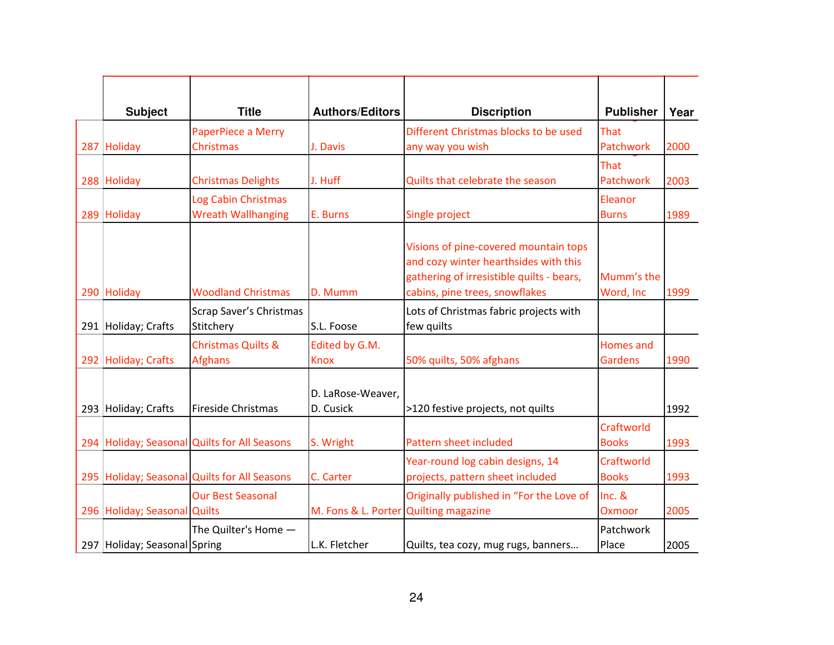| <b>Subject</b>               | <b>Title</b>                                     | <b>Authors/Editors</b>                | <b>Discription</b>                                                                                                                                            | <b>Publisher</b>                   | Year |
|------------------------------|--------------------------------------------------|---------------------------------------|---------------------------------------------------------------------------------------------------------------------------------------------------------------|------------------------------------|------|
| 287 Holiday                  | PaperPiece a Merry<br><b>Christmas</b>           | J. Davis                              | Different Christmas blocks to be used<br>any way you wish                                                                                                     | That<br>Patchwork                  | 2000 |
| 288 Holiday                  | <b>Christmas Delights</b>                        | J. Huff                               | Quilts that celebrate the season                                                                                                                              | That<br>Patchwork                  | 2003 |
| 289 Holiday                  | Log Cabin Christmas<br><b>Wreath Wallhanging</b> | E. Burns                              | Single project                                                                                                                                                | Eleanor<br><b>Burns</b>            | 1989 |
| 290 Holiday                  | <b>Woodland Christmas</b>                        | D. Mumm                               | Visions of pine-covered mountain tops<br>and cozy winter hearthsides with this<br>gathering of irresistible quilts - bears,<br>cabins, pine trees, snowflakes | Mumm's the<br>Word, Inc            | 1999 |
| 291 Holiday; Crafts          | Scrap Saver's Christmas<br>Stitchery             | S.L. Foose                            | Lots of Christmas fabric projects with<br>few quilts                                                                                                          |                                    |      |
| 292 Holiday; Crafts          | <b>Christmas Quilts &amp;</b><br><b>Afghans</b>  | Edited by G.M.<br><b>Knox</b>         | 50% quilts, 50% afghans                                                                                                                                       | <b>Homes and</b><br><b>Gardens</b> | 1990 |
| 293 Holiday; Crafts          | <b>Fireside Christmas</b>                        | D. LaRose-Weaver,<br>D. Cusick        | >120 festive projects, not quilts                                                                                                                             |                                    | 1992 |
|                              | 294 Holiday; Seasonal Quilts for All Seasons     | S. Wright                             | Pattern sheet included                                                                                                                                        | Craftworld<br><b>Books</b>         | 1993 |
|                              | 295   Holiday; Seasonal Quilts for All Seasons   | C. Carter                             | Year-round log cabin designs, 14<br>projects, pattern sheet included                                                                                          | Craftworld<br><b>Books</b>         | 1993 |
| 296 Holiday; Seasonal Quilts | <b>Our Best Seasonal</b>                         | M. Fons & L. Porter Quilting magazine | Originally published in "For the Love of                                                                                                                      | Inc. &<br>Oxmoor                   | 2005 |
| 297 Holiday; Seasonal Spring | The Quilter's Home -                             | L.K. Fletcher                         | Quilts, tea cozy, mug rugs, banners                                                                                                                           | Patchwork<br>Place                 | 2005 |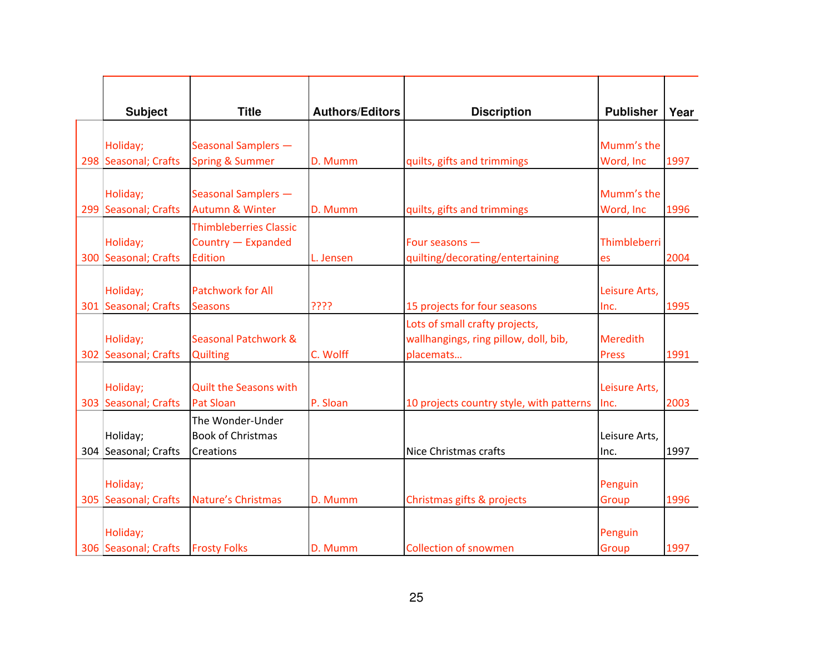| <b>Subject</b>       | <b>Title</b>                  | <b>Authors/Editors</b> | <b>Discription</b>                       | <b>Publisher</b> | Year |
|----------------------|-------------------------------|------------------------|------------------------------------------|------------------|------|
|                      |                               |                        |                                          |                  |      |
| Holiday;             | Seasonal Samplers -           |                        |                                          | Mumm's the       |      |
| 298 Seasonal; Crafts | <b>Spring &amp; Summer</b>    | D. Mumm                | quilts, gifts and trimmings              | Word, Inc        | 1997 |
|                      |                               |                        |                                          |                  |      |
| Holiday;             | Seasonal Samplers -           |                        |                                          | Mumm's the       |      |
| 299 Seasonal; Crafts | <b>Autumn &amp; Winter</b>    | D. Mumm                | quilts, gifts and trimmings              | Word, Inc        | 1996 |
|                      | <b>Thimbleberries Classic</b> |                        |                                          |                  |      |
| Holiday;             | Country - Expanded            |                        | Four seasons -                           | Thimbleberri     |      |
| 300 Seasonal; Crafts | <b>Edition</b>                | L. Jensen              | quilting/decorating/entertaining         | es               | 2004 |
|                      |                               |                        |                                          |                  |      |
| Holiday;             | <b>Patchwork for All</b>      |                        |                                          | Leisure Arts,    |      |
| 301 Seasonal; Crafts | <b>Seasons</b>                | ????                   | 15 projects for four seasons             | Inc.             | 1995 |
|                      |                               |                        | Lots of small crafty projects,           |                  |      |
| Holiday;             | Seasonal Patchwork &          |                        | wallhangings, ring pillow, doll, bib,    | <b>Meredith</b>  |      |
| 302 Seasonal; Crafts | <b>Quilting</b>               | C. Wolff               | placemats                                | <b>Press</b>     | 1991 |
|                      |                               |                        |                                          |                  |      |
| Holiday;             | <b>Quilt the Seasons with</b> |                        |                                          | Leisure Arts,    |      |
| 303 Seasonal; Crafts | <b>Pat Sloan</b>              | P. Sloan               | 10 projects country style, with patterns | Inc.             | 2003 |
|                      | The Wonder-Under              |                        |                                          |                  |      |
| Holiday;             | <b>Book of Christmas</b>      |                        |                                          | Leisure Arts,    |      |
| 304 Seasonal; Crafts | Creations                     |                        | Nice Christmas crafts                    | Inc.             | 1997 |
|                      |                               |                        |                                          |                  |      |
| Holiday;             |                               |                        |                                          | Penguin          |      |
| 305 Seasonal; Crafts | Nature's Christmas            | D. Mumm                | Christmas gifts & projects               | Group            | 1996 |
|                      |                               |                        |                                          |                  |      |
| Holiday;             |                               |                        |                                          | Penguin          |      |
| 306 Seasonal; Crafts | <b>Frosty Folks</b>           | D. Mumm                | <b>Collection of snowmen</b>             | Group            | 1997 |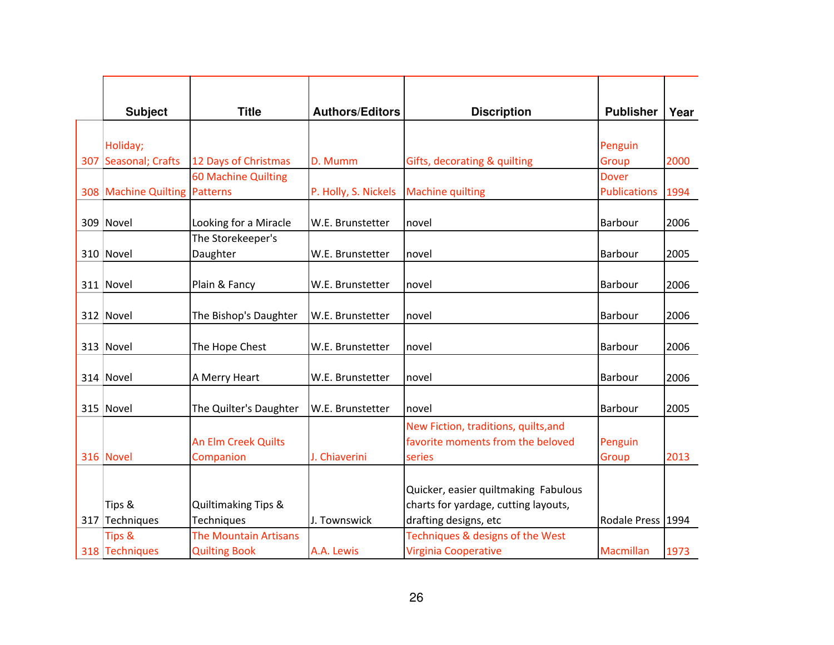| <b>Subject</b>                | <b>Title</b>                               | <b>Authors/Editors</b> | <b>Discription</b>                   | <b>Publisher</b>    | Year |
|-------------------------------|--------------------------------------------|------------------------|--------------------------------------|---------------------|------|
|                               |                                            |                        |                                      |                     |      |
| Holiday;                      |                                            |                        |                                      | Penguin             |      |
| 307 Seasonal; Crafts          | 12 Days of Christmas                       | D. Mumm                | Gifts, decorating & quilting         | Group               | 2000 |
|                               | 60 Machine Quilting                        |                        |                                      | <b>Dover</b>        |      |
| 308 Machine Quilting Patterns |                                            | P. Holly, S. Nickels   | <b>Machine quilting</b>              | <b>Publications</b> | 1994 |
|                               |                                            |                        |                                      |                     |      |
| 309 Novel                     | Looking for a Miracle<br>The Storekeeper's | W.E. Brunstetter       | novel                                | Barbour             | 2006 |
| 310 Novel                     | Daughter                                   | W.E. Brunstetter       | novel                                | Barbour             | 2005 |
|                               |                                            |                        |                                      |                     |      |
| 311 Novel                     | Plain & Fancy                              | W.E. Brunstetter       | novel                                | Barbour             | 2006 |
|                               |                                            |                        |                                      |                     |      |
| 312 Novel                     | The Bishop's Daughter                      | W.E. Brunstetter       | novel                                | Barbour             | 2006 |
|                               |                                            |                        |                                      |                     |      |
| 313 Novel                     | The Hope Chest                             | W.E. Brunstetter       | novel                                | Barbour             | 2006 |
| 314 Novel                     | A Merry Heart                              | W.E. Brunstetter       | novel                                | Barbour             | 2006 |
|                               |                                            |                        |                                      |                     |      |
| 315 Novel                     | The Quilter's Daughter                     | W.E. Brunstetter       | Inovel                               | Barbour             | 2005 |
|                               |                                            |                        | New Fiction, traditions, quilts, and |                     |      |
|                               | An Elm Creek Quilts                        |                        | favorite moments from the beloved    | Penguin             |      |
| 316 Novel                     | Companion                                  | J. Chiaverini          | series                               | Group               | 2013 |
|                               |                                            |                        |                                      |                     |      |
|                               |                                            |                        | Quicker, easier quiltmaking Fabulous |                     |      |
| Tips &                        | Quiltimaking Tips &                        |                        | charts for yardage, cutting layouts, |                     |      |
| 317 Techniques                | Techniques                                 | J. Townswick           | drafting designs, etc                | Rodale Press 1994   |      |
| <b>Tips &amp;</b>             | <b>The Mountain Artisans</b>               |                        | Techniques & designs of the West     |                     |      |
| 318 Techniques                | <b>Quilting Book</b>                       | A.A. Lewis             | <b>Virginia Cooperative</b>          | Macmillan           | 1973 |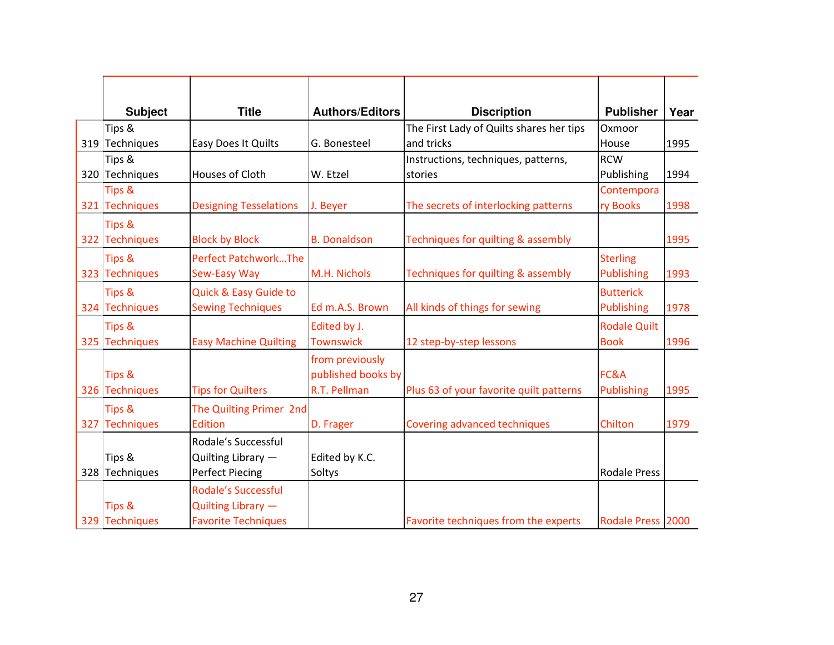| <b>Subject</b>    | <b>Title</b>                  | <b>Authors/Editors</b> | <b>Discription</b>                       | <b>Publisher</b>    | Year |
|-------------------|-------------------------------|------------------------|------------------------------------------|---------------------|------|
| Tips &            |                               |                        | The First Lady of Quilts shares her tips | Oxmoor              |      |
| 319 Techniques    | Easy Does It Quilts           | G. Bonesteel           | and tricks                               | House               | 1995 |
| Tips &            |                               |                        | Instructions, techniques, patterns,      | <b>RCW</b>          |      |
| 320 Techniques    | Houses of Cloth               | W. Etzel               | stories                                  | Publishing          | 1994 |
| <b>Tips &amp;</b> |                               |                        |                                          | Contempora          |      |
| 321 Techniques    | <b>Designing Tesselations</b> | J. Beyer               | The secrets of interlocking patterns     | ry Books            | 1998 |
| Tips &            |                               |                        |                                          |                     |      |
| 322 Techniques    | <b>Block by Block</b>         | <b>B.</b> Donaldson    | Techniques for quilting & assembly       |                     | 1995 |
| <b>Tips &amp;</b> | <b>Perfect PatchworkThe</b>   |                        |                                          | <b>Sterling</b>     |      |
| 323 Techniques    | Sew-Easy Way                  | M.H. Nichols           | Techniques for quilting & assembly       | <b>Publishing</b>   | 1993 |
| Tips &            | Quick & Easy Guide to         |                        |                                          | <b>Butterick</b>    |      |
| 324 Techniques    | <b>Sewing Techniques</b>      | Ed m.A.S. Brown        | All kinds of things for sewing           | <b>Publishing</b>   | 1978 |
| Tips &            |                               | Edited by J.           |                                          | <b>Rodale Quilt</b> |      |
| 325 Techniques    | <b>Easy Machine Quilting</b>  | <b>Townswick</b>       | 12 step-by-step lessons                  | <b>Book</b>         | 1996 |
|                   |                               | from previously        |                                          |                     |      |
| <b>Tips &amp;</b> |                               | published books by     |                                          | FC&A                |      |
| 326 Techniques    | <b>Tips for Quilters</b>      | R.T. Pellman           | Plus 63 of your favorite quilt patterns  | <b>Publishing</b>   | 1995 |
| Tips &            | The Quilting Primer 2nd       |                        |                                          |                     |      |
| 327 Techniques    | <b>Edition</b>                | D. Frager              | <b>Covering advanced techniques</b>      | Chilton             | 1979 |
|                   | Rodale's Successful           |                        |                                          |                     |      |
| Tips &            | Quilting Library -            | Edited by K.C.         |                                          |                     |      |
| 328 Techniques    | <b>Perfect Piecing</b>        | Soltys                 |                                          | <b>Rodale Press</b> |      |
|                   | <b>Rodale's Successful</b>    |                        |                                          |                     |      |
| <b>Tips &amp;</b> | Quilting Library -            |                        |                                          |                     |      |
| 329 Techniques    | <b>Favorite Techniques</b>    |                        | Favorite techniques from the experts     | Rodale Press 2000   |      |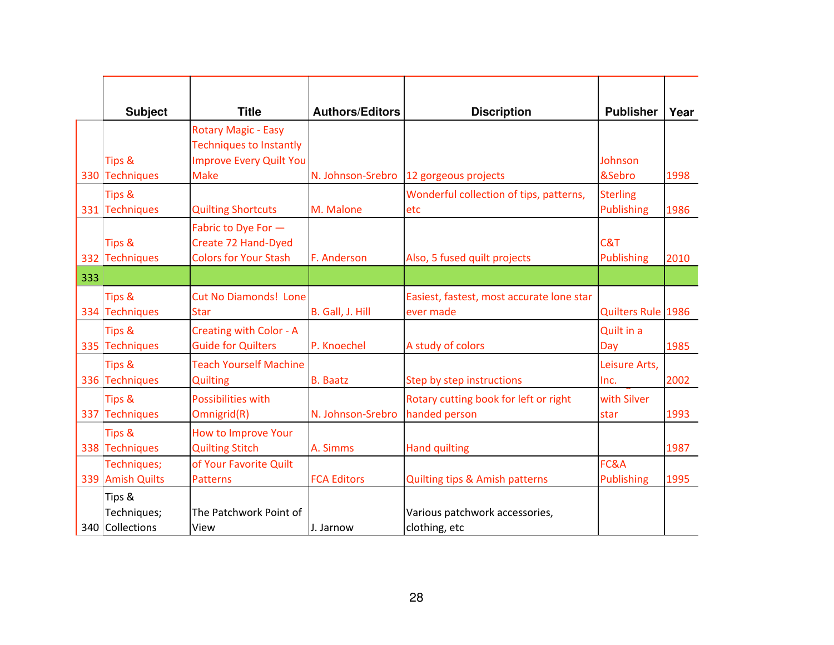|     | <b>Subject</b>                           | <b>Title</b>                                                                                                  | <b>Authors/Editors</b> | <b>Discription</b>                                     | <b>Publisher</b>                     | Year |
|-----|------------------------------------------|---------------------------------------------------------------------------------------------------------------|------------------------|--------------------------------------------------------|--------------------------------------|------|
|     | <b>Tips &amp;</b><br>330 Techniques      | <b>Rotary Magic - Easy</b><br><b>Techniques to Instantly</b><br><b>Improve Every Quilt You</b><br><b>Make</b> | N. Johnson-Srebro      | 12 gorgeous projects                                   | Johnson<br>&Sebro                    | 1998 |
|     | <b>Tips &amp;</b><br>331 Techniques      | <b>Quilting Shortcuts</b>                                                                                     | M. Malone              | Wonderful collection of tips, patterns,<br>etc         | <b>Sterling</b><br><b>Publishing</b> | 1986 |
|     | Tips &<br>332 Techniques                 | Fabric to Dye For -<br>Create 72 Hand-Dyed<br><b>Colors for Your Stash</b>                                    | F. Anderson            | Also, 5 fused quilt projects                           | C&T<br><b>Publishing</b>             | 2010 |
| 333 |                                          |                                                                                                               |                        |                                                        |                                      |      |
|     | <b>Tips &amp;</b><br>334 Techniques      | <b>Cut No Diamonds! Lone</b><br><b>Star</b>                                                                   | B. Gall, J. Hill       | Easiest, fastest, most accurate lone star<br>ever made | Quilters Rule 1986                   |      |
|     | <b>Tips &amp;</b><br>335 Techniques      | Creating with Color - A<br><b>Guide for Quilters</b>                                                          | P. Knoechel            | A study of colors                                      | Quilt in a<br>Day                    | 1985 |
|     | Tips &<br>336 Techniques                 | <b>Teach Yourself Machine</b><br><b>Quilting</b>                                                              | <b>B.</b> Baatz        | Step by step instructions                              | Leisure Arts,<br>Inc.                | 2002 |
|     | <b>Tips &amp;</b><br>337 Techniques      | <b>Possibilities with</b><br>Omnigrid(R)                                                                      | N. Johnson-Srebro      | Rotary cutting book for left or right<br>handed person | with Silver<br>star                  | 1993 |
|     | <b>Tips &amp;</b><br>338 Techniques      | How to Improve Your<br><b>Quilting Stitch</b>                                                                 | A. Simms               | <b>Hand quilting</b>                                   |                                      | 1987 |
|     | Techniques;<br>339 Amish Quilts          | of Your Favorite Quilt<br><b>Patterns</b>                                                                     | <b>FCA Editors</b>     | <b>Quilting tips &amp; Amish patterns</b>              | FC&A<br>Publishing                   | 1995 |
|     | Tips &<br>Techniques;<br>340 Collections | The Patchwork Point of<br>View                                                                                | J. Jarnow              | Various patchwork accessories,<br>clothing, etc        |                                      |      |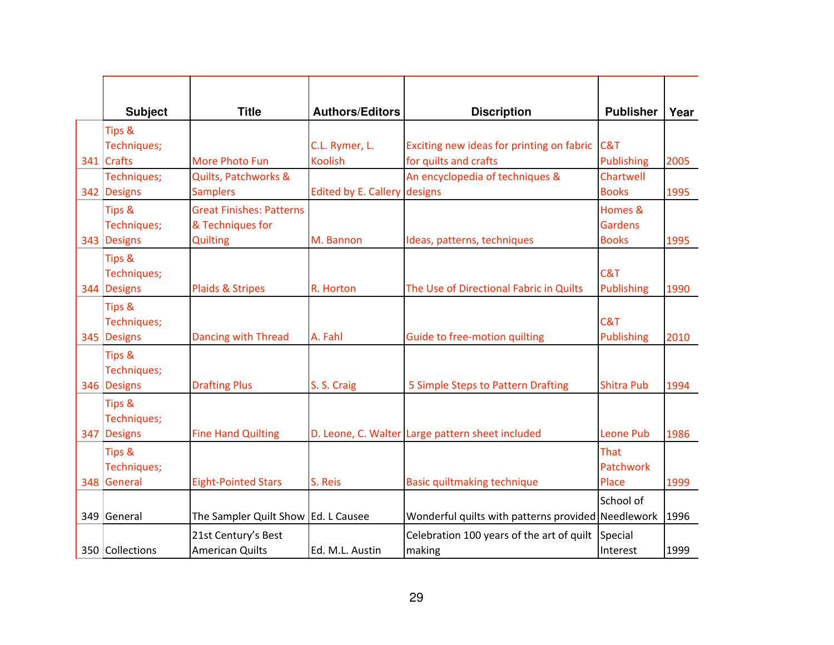| <b>Subject</b> | <b>Title</b>                                                                                         | <b>Authors/Editors</b>                        | <b>Discription</b>                                     | <b>Publisher</b>                                                                           | Year                                                                                                                                                                              |
|----------------|------------------------------------------------------------------------------------------------------|-----------------------------------------------|--------------------------------------------------------|--------------------------------------------------------------------------------------------|-----------------------------------------------------------------------------------------------------------------------------------------------------------------------------------|
| Tips &         |                                                                                                      |                                               |                                                        |                                                                                            |                                                                                                                                                                                   |
| Techniques;    |                                                                                                      | C.L. Rymer, L.                                |                                                        |                                                                                            |                                                                                                                                                                                   |
| 341 Crafts     | More Photo Fun                                                                                       | <b>Koolish</b>                                | for quilts and crafts                                  | Publishing                                                                                 | 2005                                                                                                                                                                              |
| Techniques;    | Quilts, Patchworks &                                                                                 |                                               | An encyclopedia of techniques &                        | Chartwell                                                                                  |                                                                                                                                                                                   |
| 342 Designs    | <b>Samplers</b>                                                                                      |                                               |                                                        | <b>Books</b>                                                                               | 1995                                                                                                                                                                              |
| Tips &         | <b>Great Finishes: Patterns</b>                                                                      |                                               |                                                        | Homes &                                                                                    |                                                                                                                                                                                   |
| Techniques;    | & Techniques for                                                                                     |                                               |                                                        | <b>Gardens</b>                                                                             |                                                                                                                                                                                   |
| 343 Designs    | <b>Quilting</b>                                                                                      | M. Bannon                                     | Ideas, patterns, techniques                            | <b>Books</b>                                                                               | 1995                                                                                                                                                                              |
| Tips &         |                                                                                                      |                                               |                                                        |                                                                                            |                                                                                                                                                                                   |
| Techniques;    |                                                                                                      |                                               |                                                        | C&T                                                                                        |                                                                                                                                                                                   |
| 344 Designs    | Plaids & Stripes                                                                                     | R. Horton                                     | The Use of Directional Fabric in Quilts                | <b>Publishing</b>                                                                          | 1990                                                                                                                                                                              |
|                |                                                                                                      |                                               |                                                        |                                                                                            |                                                                                                                                                                                   |
| Techniques;    |                                                                                                      |                                               |                                                        | C&T                                                                                        |                                                                                                                                                                                   |
| 345 Designs    | <b>Dancing with Thread</b>                                                                           | A. Fahl                                       | Guide to free-motion quilting                          | Publishing                                                                                 | 2010                                                                                                                                                                              |
|                |                                                                                                      |                                               |                                                        |                                                                                            |                                                                                                                                                                                   |
|                |                                                                                                      |                                               |                                                        |                                                                                            |                                                                                                                                                                                   |
| 346 Designs    | <b>Drafting Plus</b>                                                                                 | S. S. Craig                                   | 5 Simple Steps to Pattern Drafting                     | <b>Shitra Pub</b>                                                                          | 1994                                                                                                                                                                              |
|                |                                                                                                      |                                               |                                                        |                                                                                            |                                                                                                                                                                                   |
|                |                                                                                                      |                                               |                                                        |                                                                                            |                                                                                                                                                                                   |
| 347 Designs    | <b>Fine Hand Quilting</b>                                                                            |                                               |                                                        | Leone Pub                                                                                  | 1986                                                                                                                                                                              |
|                |                                                                                                      |                                               |                                                        | That                                                                                       |                                                                                                                                                                                   |
|                |                                                                                                      |                                               |                                                        | Patchwork                                                                                  |                                                                                                                                                                                   |
| 348 General    | <b>Eight-Pointed Stars</b>                                                                           | S. Reis                                       | <b>Basic quiltmaking technique</b>                     | Place                                                                                      | 1999                                                                                                                                                                              |
|                |                                                                                                      |                                               |                                                        |                                                                                            |                                                                                                                                                                                   |
| 349 General    |                                                                                                      |                                               |                                                        |                                                                                            | 1996                                                                                                                                                                              |
|                |                                                                                                      |                                               |                                                        |                                                                                            |                                                                                                                                                                                   |
|                |                                                                                                      |                                               |                                                        |                                                                                            | 1999                                                                                                                                                                              |
|                | Tips &<br>Tips &<br>Techniques;<br>Tips &<br>Techniques;<br>Tips &<br>Techniques;<br>350 Collections | 21st Century's Best<br><b>American Quilts</b> | The Sampler Quilt Show Ed. L Causee<br>Ed. M.L. Austin | Edited by E. Callery designs<br>D. Leone, C. Walter Large pattern sheet included<br>making | Exciting new ideas for printing on fabric C&T<br>School of<br>Wonderful quilts with patterns provided Needlework<br>Celebration 100 years of the art of quilt Special<br>Interest |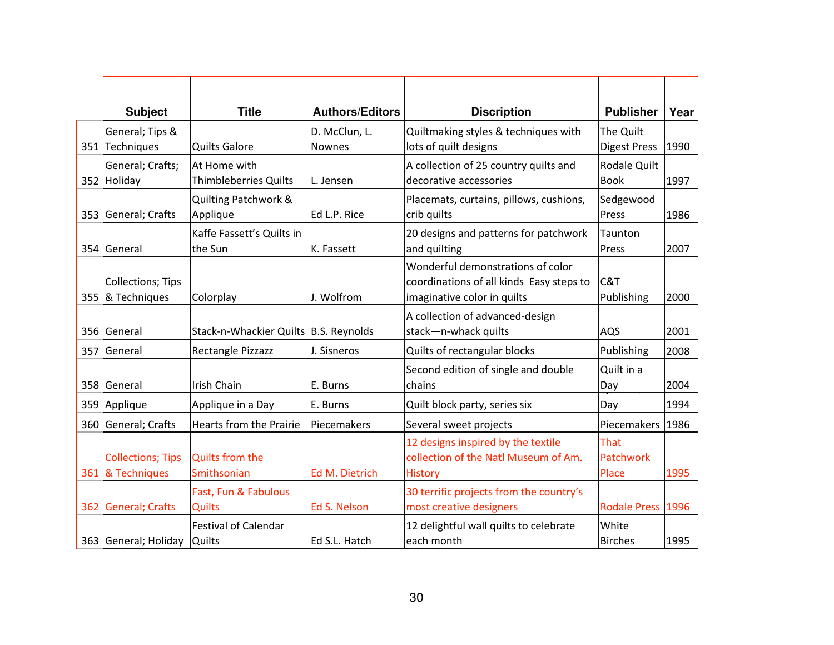| <b>Subject</b>                               | <b>Title</b>                                 | <b>Authors/Editors</b>         | <b>Discription</b>                                                                                           | <b>Publisher</b>                 | Year |
|----------------------------------------------|----------------------------------------------|--------------------------------|--------------------------------------------------------------------------------------------------------------|----------------------------------|------|
| General; Tips &<br>351 Techniques            | <b>Quilts Galore</b>                         | D. McClun, L.<br><b>Nownes</b> | Quiltmaking styles & techniques with<br>lots of quilt designs                                                | The Quilt<br><b>Digest Press</b> | 1990 |
| General; Crafts;<br>352 Holiday              | At Home with<br><b>Thimbleberries Quilts</b> | L. Jensen                      | A collection of 25 country quilts and<br>decorative accessories                                              | Rodale Quilt<br><b>Book</b>      | 1997 |
| 353 General; Crafts                          | Quilting Patchwork &<br>Applique             | Ed L.P. Rice                   | Placemats, curtains, pillows, cushions,<br>crib quilts                                                       | Sedgewood<br>Press               | 1986 |
| 354 General                                  | Kaffe Fassett's Quilts in<br>the Sun         | K. Fassett                     | 20 designs and patterns for patchwork<br>and quilting                                                        | Taunton<br>Press                 | 2007 |
| <b>Collections; Tips</b><br>355 & Techniques | Colorplay                                    | J. Wolfrom                     | Wonderful demonstrations of color<br>coordinations of all kinds Easy steps to<br>imaginative color in quilts | C&T<br>Publishing                | 2000 |
| 356 General                                  | Stack-n-Whackier Quilts B.S. Reynolds        |                                | A collection of advanced-design<br>stack-n-whack quilts                                                      | AQS                              | 2001 |
| 357 General                                  | Rectangle Pizzazz                            | J. Sisneros                    | Quilts of rectangular blocks                                                                                 | Publishing                       | 2008 |
| 358 General                                  | <b>Irish Chain</b>                           | E. Burns                       | Second edition of single and double<br>chains                                                                | Quilt in a<br>Day                | 2004 |
| 359 Applique                                 | Applique in a Day                            | E. Burns                       | Quilt block party, series six                                                                                | Day                              | 1994 |
| 360 General; Crafts                          | <b>Hearts from the Prairie</b>               | <b>Piecemakers</b>             | Several sweet projects                                                                                       | Piecemakers   1986               |      |
| <b>Collections; Tips</b><br>361 & Techniques | <b>Quilts from the</b><br>Smithsonian        | <b>Ed M. Dietrich</b>          | 12 designs inspired by the textile<br>collection of the Natl Museum of Am.<br><b>History</b>                 | That<br>Patchwork<br>Place       | 1995 |
| 362 General; Crafts                          | Fast, Fun & Fabulous<br><b>Quilts</b>        | Ed S. Nelson                   | 30 terrific projects from the country's<br>most creative designers                                           | Rodale Press 1996                |      |
| 363 General; Holiday                         | <b>Festival of Calendar</b><br><b>Quilts</b> | Ed S.L. Hatch                  | 12 delightful wall quilts to celebrate<br>each month                                                         | White<br><b>Birches</b>          | 1995 |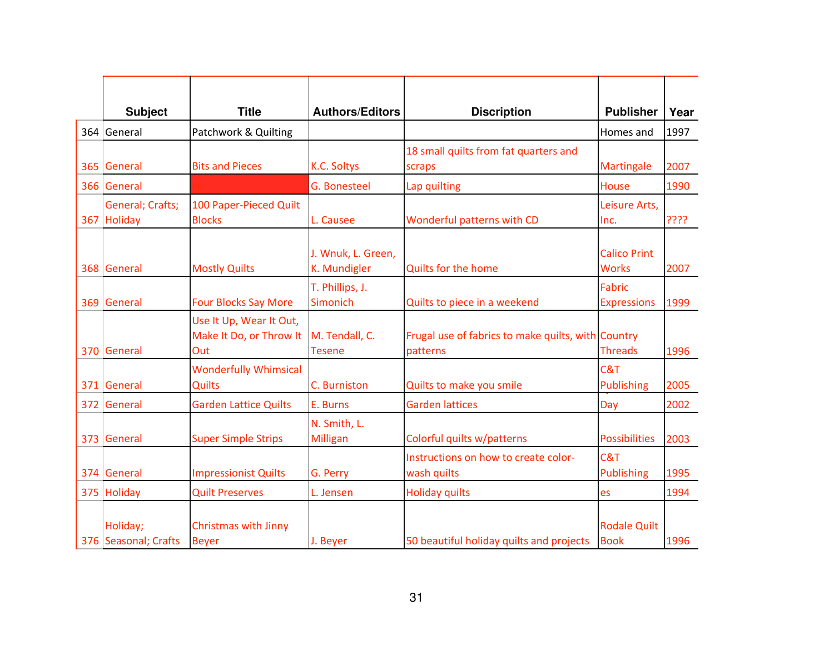| <b>Subject</b>                   | <b>Title</b>                                              | <b>Authors/Editors</b>             | <b>Discription</b>                                             | <b>Publisher</b>                    | Year |
|----------------------------------|-----------------------------------------------------------|------------------------------------|----------------------------------------------------------------|-------------------------------------|------|
| 364 General                      | Patchwork & Quilting                                      |                                    |                                                                | Homes and                           | 1997 |
| 365 General                      | <b>Bits and Pieces</b>                                    | K.C. Soltys                        | 18 small quilts from fat quarters and<br>scraps                | Martingale                          | 2007 |
| 366 General                      |                                                           | <b>G. Bonesteel</b>                | Lap quilting                                                   | House                               | 1990 |
| General; Crafts;<br>367 Holiday  | 100 Paper-Pieced Quilt<br><b>Blocks</b>                   | L. Causee                          | Wonderful patterns with CD                                     | Leisure Arts,<br>Inc.               | ???? |
| 368 General                      | <b>Mostly Quilts</b>                                      | J. Wnuk, L. Green,<br>K. Mundigler | <b>Quilts for the home</b>                                     | <b>Calico Print</b><br><b>Works</b> | 2007 |
| 369 General                      | <b>Four Blocks Say More</b>                               | T. Phillips, J.<br>Simonich        | Quilts to piece in a weekend                                   | Fabric<br><b>Expressions</b>        | 1999 |
| 370 General                      | Use It Up, Wear It Out,<br>Make It Do, or Throw It<br>Out | M. Tendall, C.<br><b>Tesene</b>    | Frugal use of fabrics to make quilts, with Country<br>patterns | <b>Threads</b>                      | 1996 |
| 371 General                      | <b>Wonderfully Whimsical</b><br>Quilts                    | C. Burniston                       | Quilts to make you smile                                       | C&T<br><b>Publishing</b>            | 2005 |
| 372 General                      | <b>Garden Lattice Quilts</b>                              | E. Burns                           | <b>Garden lattices</b>                                         | Day                                 | 2002 |
| 373 General                      | <b>Super Simple Strips</b>                                | N. Smith, L.<br>Milligan           | Colorful quilts w/patterns                                     | <b>Possibilities</b>                | 2003 |
| 374 General                      | <b>Impressionist Quilts</b>                               | G. Perry                           | Instructions on how to create color-<br>wash quilts            | C&T<br><b>Publishing</b>            | 1995 |
| 375 Holiday                      | <b>Quilt Preserves</b>                                    | L. Jensen                          | <b>Holiday quilts</b>                                          | es                                  | 1994 |
| Holiday;<br>376 Seasonal; Crafts | <b>Christmas with Jinny</b><br><b>Beyer</b>               | J. Beyer                           | 50 beautiful holiday quilts and projects                       | <b>Rodale Quilt</b><br><b>Book</b>  | 1996 |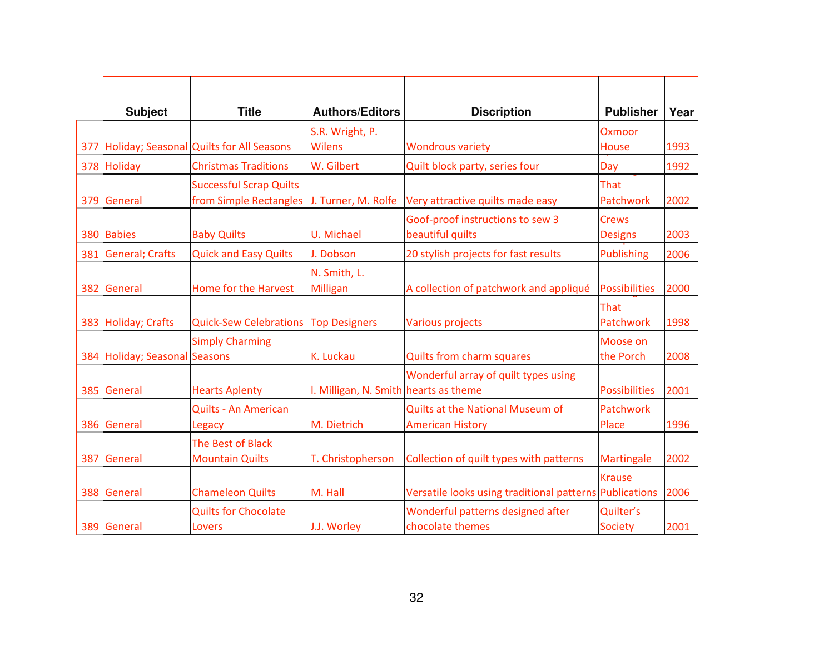| <b>Subject</b>                | <b>Title</b>                                             | <b>Authors/Editors</b>                | <b>Discription</b>                                          | <b>Publisher</b>               | Year |
|-------------------------------|----------------------------------------------------------|---------------------------------------|-------------------------------------------------------------|--------------------------------|------|
|                               | 377 Holiday; Seasonal Quilts for All Seasons             | S.R. Wright, P.<br><b>Wilens</b>      | <b>Wondrous variety</b>                                     | Oxmoor<br><b>House</b>         | 1993 |
| 378 Holiday                   | <b>Christmas Traditions</b>                              | W. Gilbert                            | Quilt block party, series four                              | Day                            | 1992 |
| 379 General                   | <b>Successful Scrap Quilts</b><br>from Simple Rectangles | J. Turner, M. Rolfe                   | Very attractive quilts made easy                            | That<br>Patchwork              | 2002 |
| 380 Babies                    | <b>Baby Quilts</b>                                       | U. Michael                            | Goof-proof instructions to sew 3<br>beautiful quilts        | <b>Crews</b><br><b>Designs</b> | 2003 |
| 381 General; Crafts           | <b>Quick and Easy Quilts</b>                             | J. Dobson                             | 20 stylish projects for fast results                        | <b>Publishing</b>              | 2006 |
| 382 General                   | Home for the Harvest                                     | N. Smith, L.<br><b>Milligan</b>       | A collection of patchwork and appliqué                      | <b>Possibilities</b>           | 2000 |
| 383 Holiday; Crafts           | <b>Quick-Sew Celebrations Top Designers</b>              |                                       | <b>Various projects</b>                                     | That<br>Patchwork              | 1998 |
| 384 Holiday; Seasonal Seasons | <b>Simply Charming</b>                                   | K. Luckau                             | <b>Quilts from charm squares</b>                            | Moose on<br>the Porch          | 2008 |
| 385 General                   | <b>Hearts Aplenty</b>                                    | I. Milligan, N. Smith hearts as theme | Wonderful array of quilt types using                        | <b>Possibilities</b>           | 2001 |
| 386 General                   | Quilts - An American<br>Legacy                           | M. Dietrich                           | Quilts at the National Museum of<br><b>American History</b> | Patchwork<br>Place             | 1996 |
| 387 General                   | The Best of Black<br><b>Mountain Quilts</b>              | T. Christopherson                     | Collection of quilt types with patterns                     | <b>Martingale</b>              | 2002 |
| 388 General                   | <b>Chameleon Quilts</b>                                  | M. Hall                               | Versatile looks using traditional patterns Publications     | <b>Krause</b>                  | 2006 |
| 389 General                   | <b>Quilts for Chocolate</b><br><b>Lovers</b>             | J.J. Worley                           | Wonderful patterns designed after<br>chocolate themes       | Quilter's<br><b>Society</b>    | 2001 |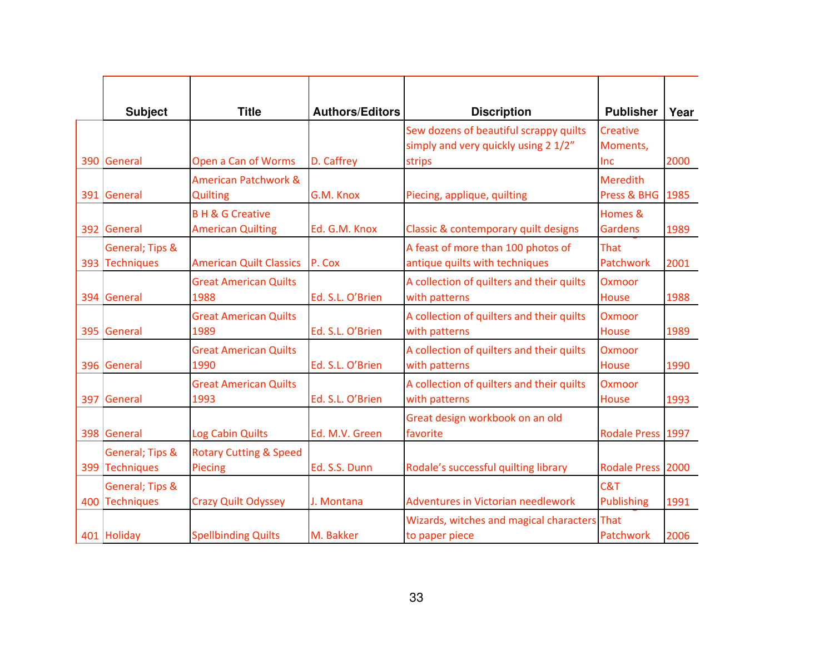| <b>Subject</b><br>390 General     | <b>Title</b><br>Open a Can of Worms                    | <b>Authors/Editors</b><br>D. Caffrey | <b>Discription</b><br>Sew dozens of beautiful scrappy quilts<br>simply and very quickly using 2 1/2"<br>strips | <b>Publisher</b><br><b>Creative</b><br>Moments,<br>Inc | Year<br>2000 |
|-----------------------------------|--------------------------------------------------------|--------------------------------------|----------------------------------------------------------------------------------------------------------------|--------------------------------------------------------|--------------|
| 391 General                       | <b>American Patchwork &amp;</b><br><b>Quilting</b>     | G.M. Knox                            | Piecing, applique, quilting                                                                                    | <b>Meredith</b><br>Press & BHG                         | 1985         |
| 392 General<br>General; Tips &    | <b>BH &amp; G Creative</b><br><b>American Quilting</b> | Ed. G.M. Knox                        | Classic & contemporary quilt designs<br>A feast of more than 100 photos of                                     | Homes &<br><b>Gardens</b><br>That                      | 1989         |
| 393 Techniques                    | <b>American Quilt Classics</b>                         | P. Cox                               | antique quilts with techniques                                                                                 | Patchwork                                              | 2001         |
| 394 General                       | <b>Great American Quilts</b><br>1988                   | Ed. S.L. O'Brien                     | A collection of quilters and their quilts<br>with patterns                                                     | Oxmoor<br><b>House</b>                                 | 1988         |
| 395 General                       | <b>Great American Quilts</b><br>1989                   | Ed. S.L. O'Brien                     | A collection of quilters and their quilts<br>with patterns                                                     | Oxmoor<br>House                                        | 1989         |
| 396 General                       | <b>Great American Quilts</b><br>1990                   | Ed. S.L. O'Brien                     | A collection of quilters and their quilts<br>with patterns                                                     | Oxmoor<br>House                                        | 1990         |
| 397 General                       | <b>Great American Quilts</b><br>1993                   | Ed. S.L. O'Brien                     | A collection of quilters and their quilts<br>with patterns                                                     | Oxmoor<br><b>House</b>                                 | 1993         |
| 398 General                       | Log Cabin Quilts                                       | Ed. M.V. Green                       | Great design workbook on an old<br>favorite                                                                    | Rodale Press 1997                                      |              |
| General; Tips &<br>399 Techniques | <b>Rotary Cutting &amp; Speed</b><br>Piecing           | Ed. S.S. Dunn                        | Rodale's successful quilting library                                                                           | Rodale Press 2000                                      |              |
| General; Tips &<br>400 Techniques | <b>Crazy Quilt Odyssey</b>                             | J. Montana                           | Adventures in Victorian needlework                                                                             | C&T<br><b>Publishing</b>                               | 1991         |
| 401 Holiday                       | <b>Spellbinding Quilts</b>                             | M. Bakker                            | Wizards, witches and magical characters That<br>to paper piece                                                 | Patchwork                                              | 2006         |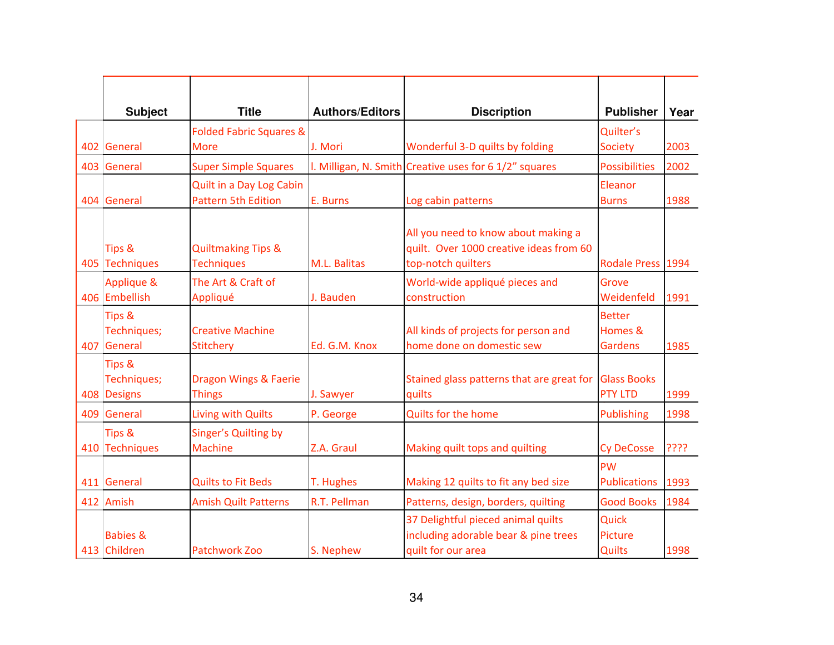|     | <b>Subject</b>                       | <b>Title</b>                                           | <b>Authors/Editors</b> | <b>Discription</b>                                                                                   | <b>Publisher</b>                           | Year |
|-----|--------------------------------------|--------------------------------------------------------|------------------------|------------------------------------------------------------------------------------------------------|--------------------------------------------|------|
|     |                                      | <b>Folded Fabric Squares &amp;</b>                     |                        |                                                                                                      | Quilter's                                  |      |
|     | 402 General                          | <b>More</b>                                            | J. Mori                | Wonderful 3-D quilts by folding                                                                      | <b>Society</b>                             | 2003 |
|     | 403 General                          | <b>Super Simple Squares</b>                            |                        | I. Milligan, N. Smith Creative uses for 6 1/2" squares                                               | <b>Possibilities</b>                       | 2002 |
|     | 404 General                          | Quilt in a Day Log Cabin<br><b>Pattern 5th Edition</b> | E. Burns               | Log cabin patterns                                                                                   | Eleanor<br><b>Burns</b>                    | 1988 |
|     | Tips &<br>405 Techniques             | <b>Quiltmaking Tips &amp;</b><br><b>Techniques</b>     | M.L. Balitas           | All you need to know about making a<br>quilt. Over 1000 creative ideas from 60<br>top-notch quilters | Rodale Press 1994                          |      |
|     | Applique &<br>406 Embellish          | The Art & Craft of<br>Appliqué                         | J. Bauden              | World-wide appliqué pieces and<br>construction                                                       | Grove<br>Weidenfeld                        | 1991 |
| 407 | Tips &<br>Techniques;<br>General     | <b>Creative Machine</b><br><b>Stitchery</b>            | Ed. G.M. Knox          | All kinds of projects for person and<br>home done on domestic sew                                    | <b>Better</b><br>Homes &<br><b>Gardens</b> | 1985 |
|     | Tips &<br>Techniques;<br>408 Designs | <b>Dragon Wings &amp; Faerie</b><br><b>Things</b>      | J. Sawyer              | Stained glass patterns that are great for<br>quilts                                                  | <b>Glass Books</b><br><b>PTY LTD</b>       | 1999 |
|     | 409 General                          | Living with Quilts                                     | P. George              | <b>Quilts for the home</b>                                                                           | Publishing                                 | 1998 |
|     | Tips &<br>410 Techniques             | Singer's Quilting by<br><b>Machine</b>                 | Z.A. Graul             | Making quilt tops and quilting                                                                       | <b>Cy DeCosse</b>                          | ???? |
|     | 411 General                          | <b>Quilts to Fit Beds</b>                              | T. Hughes              | Making 12 quilts to fit any bed size                                                                 | <b>PW</b><br><b>Publications</b>           | 1993 |
|     | 412 Amish                            | <b>Amish Quilt Patterns</b>                            | R.T. Pellman           | Patterns, design, borders, quilting                                                                  | <b>Good Books</b>                          | 1984 |
|     | <b>Babies &amp;</b><br>413 Children  | <b>Patchwork Zoo</b>                                   | S. Nephew              | 37 Delightful pieced animal quilts<br>including adorable bear & pine trees<br>quilt for our area     | Quick<br>Picture<br><b>Quilts</b>          | 1998 |